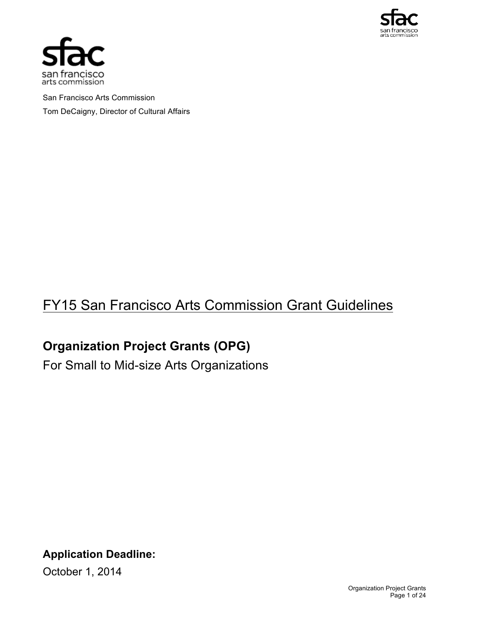



San Francisco Arts Commission Tom DeCaigny, Director of Cultural Affairs

# FY15 San Francisco Arts Commission Grant Guidelines

# **Organization Project Grants (OPG)**

For Small to Mid-size Arts Organizations

**Application Deadline:**  October 1, 2014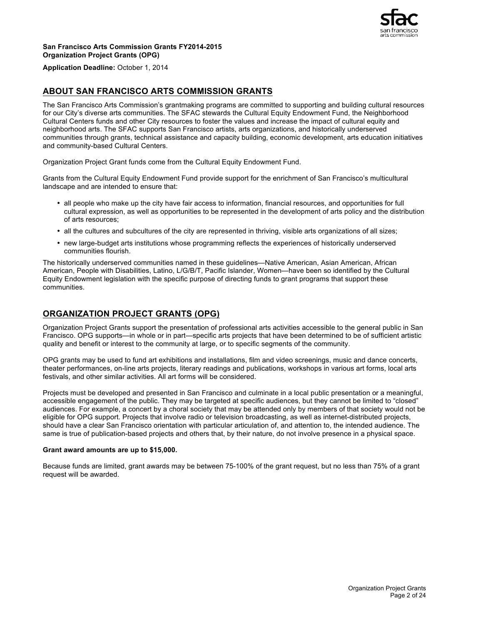

#### **San Francisco Arts Commission Grants FY2014-2015 Organization Project Grants (OPG)**

#### **Application Deadline:** October 1, 2014

### **ABOUT SAN FRANCISCO ARTS COMMISSION GRANTS**

The San Francisco Arts Commission's grantmaking programs are committed to supporting and building cultural resources for our City's diverse arts communities. The SFAC stewards the Cultural Equity Endowment Fund, the Neighborhood Cultural Centers funds and other City resources to foster the values and increase the impact of cultural equity and neighborhood arts. The SFAC supports San Francisco artists, arts organizations, and historically underserved communities through grants, technical assistance and capacity building, economic development, arts education initiatives and community-based Cultural Centers.

Organization Project Grant funds come from the Cultural Equity Endowment Fund.

Grants from the Cultural Equity Endowment Fund provide support for the enrichment of San Francisco's multicultural landscape and are intended to ensure that:

- all people who make up the city have fair access to information, financial resources, and opportunities for full cultural expression, as well as opportunities to be represented in the development of arts policy and the distribution of arts resources;
- all the cultures and subcultures of the city are represented in thriving, visible arts organizations of all sizes;
- new large-budget arts institutions whose programming reflects the experiences of historically underserved communities flourish.

The historically underserved communities named in these guidelines—Native American, Asian American, African American, People with Disabilities, Latino, L/G/B/T, Pacific Islander, Women—have been so identified by the Cultural Equity Endowment legislation with the specific purpose of directing funds to grant programs that support these communities.

### **ORGANIZATION PROJECT GRANTS (OPG)**

Organization Project Grants support the presentation of professional arts activities accessible to the general public in San Francisco. OPG supports—in whole or in part—specific arts projects that have been determined to be of sufficient artistic quality and benefit or interest to the community at large, or to specific segments of the community.

OPG grants may be used to fund art exhibitions and installations, film and video screenings, music and dance concerts, theater performances, on-line arts projects, literary readings and publications, workshops in various art forms, local arts festivals, and other similar activities. All art forms will be considered.

Projects must be developed and presented in San Francisco and culminate in a local public presentation or a meaningful, accessible engagement of the public. They may be targeted at specific audiences, but they cannot be limited to "closed" audiences. For example, a concert by a choral society that may be attended only by members of that society would not be eligible for OPG support. Projects that involve radio or television broadcasting, as well as internet-distributed projects, should have a clear San Francisco orientation with particular articulation of, and attention to, the intended audience. The same is true of publication-based projects and others that, by their nature, do not involve presence in a physical space.

#### **Grant award amounts are up to \$15,000.**

Because funds are limited, grant awards may be between 75-100% of the grant request, but no less than 75% of a grant request will be awarded.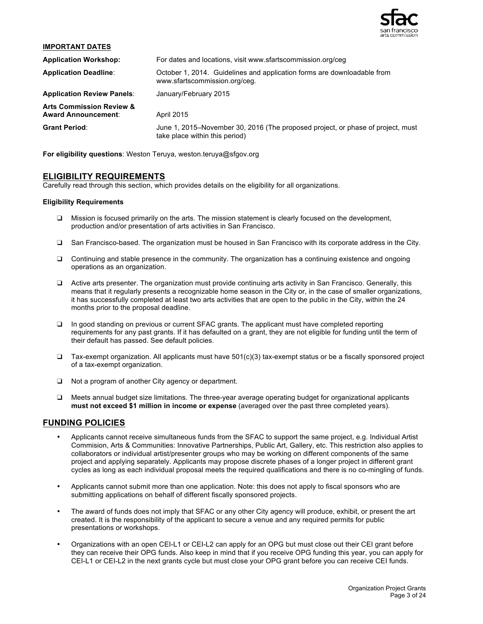

#### **IMPORTANT DATES**

| <b>Application Workshop:</b>                                      | For dates and locations, visit www.sfartscommission.org/ceg                                                       |
|-------------------------------------------------------------------|-------------------------------------------------------------------------------------------------------------------|
| <b>Application Deadline:</b>                                      | October 1, 2014. Guidelines and application forms are downloadable from<br>www.sfartscommission.org/ceg.          |
| <b>Application Review Panels:</b>                                 | January/February 2015                                                                                             |
| <b>Arts Commission Review &amp;</b><br><b>Award Announcement:</b> | April 2015                                                                                                        |
| <b>Grant Period:</b>                                              | June 1, 2015–November 30, 2016 (The proposed project, or phase of project, must<br>take place within this period) |

**For eligibility questions**: Weston Teruya, weston.teruya@sfgov.org

#### **ELIGIBILITY REQUIREMENTS**

Carefully read through this section, which provides details on the eligibility for all organizations.

#### **Eligibility Requirements**

- ❑ Mission is focused primarily on the arts. The mission statement is clearly focused on the development, production and/or presentation of arts activities in San Francisco.
- ❑ San Francisco-based. The organization must be housed in San Francisco with its corporate address in the City.
- ❑ Continuing and stable presence in the community. The organization has a continuing existence and ongoing operations as an organization.
- ❑ Active arts presenter. The organization must provide continuing arts activity in San Francisco. Generally, this means that it regularly presents a recognizable home season in the City or, in the case of smaller organizations, it has successfully completed at least two arts activities that are open to the public in the City, within the 24 months prior to the proposal deadline.
- ❑ In good standing on previous or current SFAC grants. The applicant must have completed reporting requirements for any past grants. If it has defaulted on a grant, they are not eligible for funding until the term of their default has passed. See default policies.
- ❑ Tax-exempt organization. All applicants must have 501(c)(3) tax-exempt status or be a fiscally sponsored project of a tax-exempt organization.
- ❑ Not a program of another City agency or department.
- ❑ Meets annual budget size limitations. The three-year average operating budget for organizational applicants **must not exceed \$1 million in income or expense** (averaged over the past three completed years).

#### **FUNDING POLICIES**

- Applicants cannot receive simultaneous funds from the SFAC to support the same project, e.g. Individual Artist Commision, Arts & Communities: Innovative Partnerships, Public Art, Gallery, etc. This restriction also applies to collaborators or individual artist/presenter groups who may be working on different components of the same project and applying separately. Applicants may propose discrete phases of a longer project in different grant cycles as long as each individual proposal meets the required qualifications and there is no co-mingling of funds.
- Applicants cannot submit more than one application. Note: this does not apply to fiscal sponsors who are submitting applications on behalf of different fiscally sponsored projects.
- The award of funds does not imply that SFAC or any other City agency will produce, exhibit, or present the art created. It is the responsibility of the applicant to secure a venue and any required permits for public presentations or workshops.
- Organizations with an open CEI-L1 or CEI-L2 can apply for an OPG but must close out their CEI grant before they can receive their OPG funds. Also keep in mind that if you receive OPG funding this year, you can apply for CEI-L1 or CEI-L2 in the next grants cycle but must close your OPG grant before you can receive CEI funds.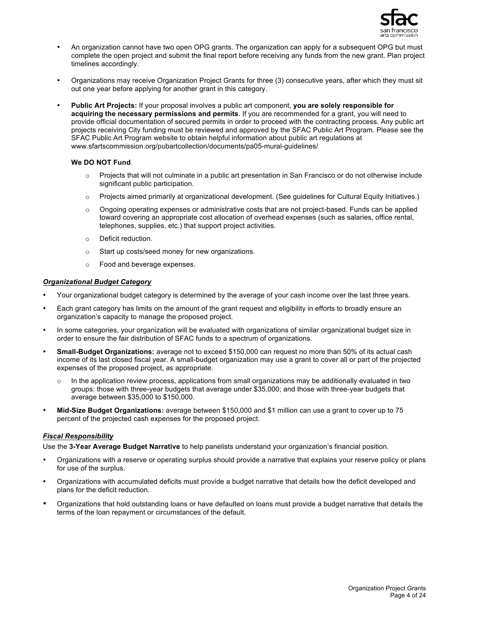

- An organization cannot have two open OPG grants. The organization can apply for a subsequent OPG but must complete the open project and submit the final report before receiving any funds from the new grant. Plan project timelines accordingly.
- Organizations may receive Organization Project Grants for three (3) consecutive years, after which they must sit out one year before applying for another grant in this category.
- **Public Art Projects:** If your proposal involves a public art component, **you are solely responsible for acquiring the necessary permissions and permits**. If you are recommended for a grant, you will need to provide official documentation of secured permits in order to proceed with the contracting process. Any public art projects receiving City funding must be reviewed and approved by the SFAC Public Art Program. Please see the SFAC Public Art Program website to obtain helpful information about public art regulations at www.sfartscommission.org/pubartcollection/documents/pa05-mural-guidelines/

#### **We DO NOT Fund**

- $\circ$  Projects that will not culminate in a public art presentation in San Francisco or do not otherwise include significant public participation.
- o Projects aimed primarily at organizational development. (See guidelines for Cultural Equity Initiatives.)
- $\circ$  Ongoing operating expenses or administrative costs that are not project-based. Funds can be applied toward covering an appropriate cost allocation of overhead expenses (such as salaries, office rental, telephones, supplies, etc.) that support project activities.
- o Deficit reduction.
- o Start up costs/seed money for new organizations.
- o Food and beverage expenses.

#### *Organizational Budget Category*

- Your organizational budget category is determined by the average of your cash income over the last three years.
- Each grant category has limits on the amount of the grant request and eligibility in efforts to broadly ensure an organization's capacity to manage the proposed project.
- In some categories, your organization will be evaluated with organizations of similar organizational budget size in order to ensure the fair distribution of SFAC funds to a spectrum of organizations.
- **Small-Budget Organizations:** average not to exceed \$150,000 can request no more than 50% of its actual cash income of its last closed fiscal year. A small-budget organization may use a grant to cover all or part of the projected expenses of the proposed project, as appropriate.
	- $\circ$  In the application review process, applications from small organizations may be additionally evaluated in two groups: those with three-year budgets that average under \$35,000; and those with three-year budgets that average between \$35,000 to \$150,000.
- **Mid-Size Budget Organizations:** average between \$150,000 and \$1 million can use a grant to cover up to 75 percent of the projected cash expenses for the proposed project.

#### *Fiscal Responsibility*

Use the **3-Year Average Budget Narrative** to help panelists understand your organization's financial position.

- Organizations with a reserve or operating surplus should provide a narrative that explains your reserve policy or plans for use of the surplus.
- Organizations with accumulated deficits must provide a budget narrative that details how the deficit developed and plans for the deficit reduction.
- Organizations that hold outstanding loans or have defaulted on loans must provide a budget narrative that details the terms of the loan repayment or circumstances of the default.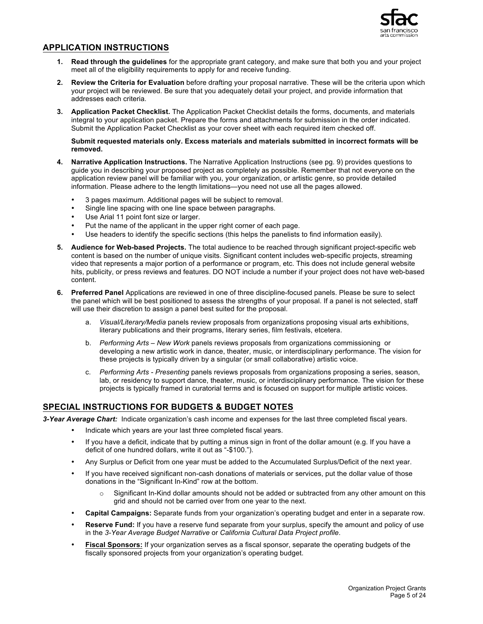

### **APPLICATION INSTRUCTIONS**

- **1. Read through the guidelines** for the appropriate grant category, and make sure that both you and your project meet all of the eligibility requirements to apply for and receive funding.
- **2. Review the Criteria for Evaluation** before drafting your proposal narrative. These will be the criteria upon which your project will be reviewed. Be sure that you adequately detail your project, and provide information that addresses each criteria.
- **3. Application Packet Checklist.** The Application Packet Checklist details the forms, documents, and materials integral to your application packet. Prepare the forms and attachments for submission in the order indicated. Submit the Application Packet Checklist as your cover sheet with each required item checked off.

#### **Submit requested materials only. Excess materials and materials submitted in incorrect formats will be removed.**

- **4. Narrative Application Instructions.** The Narrative Application Instructions (see pg. 9) provides questions to guide you in describing your proposed project as completely as possible. Remember that not everyone on the application review panel will be familiar with you, your organization, or artistic genre, so provide detailed information. Please adhere to the length limitations—you need not use all the pages allowed.
	- 3 pages maximum. Additional pages will be subject to removal.
	- Single line spacing with one line space between paragraphs.
	- Use Arial 11 point font size or larger.
	- Put the name of the applicant in the upper right corner of each page.
	- Use headers to identify the specific sections (this helps the panelists to find information easily).
- **5. Audience for Web-based Projects.** The total audience to be reached through significant project-specific web content is based on the number of unique visits. Significant content includes web-specific projects, streaming video that represents a major portion of a performance or program, etc. This does not include general website hits, publicity, or press reviews and features. DO NOT include a number if your project does not have web-based content.
- **6. Preferred Panel** Applications are reviewed in one of three discipline-focused panels. Please be sure to select the panel which will be best positioned to assess the strengths of your proposal. If a panel is not selected, staff will use their discretion to assign a panel best suited for the proposal.
	- a. *Visual/Literary/Media* panels review proposals from organizations proposing visual arts exhibitions, literary publications and their programs, literary series, film festivals, etcetera.
	- b. *Performing Arts – New Work* panels reviews proposals from organizations commissioning or developing a new artistic work in dance, theater, music, or interdisciplinary performance. The vision for these projects is typically driven by a singular (or small collaborative) artistic voice.
	- c. *Performing Arts - Presenting* panels reviews proposals from organizations proposing a series, season, lab, or residency to support dance, theater, music, or interdisciplinary performance. The vision for these projects is typically framed in curatorial terms and is focused on support for multiple artistic voices.

### **SPECIAL INSTRUCTIONS FOR BUDGETS & BUDGET NOTES**

*3-Year Average Chart:* Indicate organization's cash income and expenses for the last three completed fiscal years.

- Indicate which years are your last three completed fiscal years.
- If you have a deficit, indicate that by putting a minus sign in front of the dollar amount (e.g. If you have a deficit of one hundred dollars, write it out as "-\$100.").
- Any Surplus or Deficit from one year must be added to the Accumulated Surplus/Deficit of the next year.
- If you have received significant non-cash donations of materials or services, put the dollar value of those donations in the "Significant In-Kind" row at the bottom.
	- $\circ$  Significant In-Kind dollar amounts should not be added or subtracted from any other amount on this grid and should not be carried over from one year to the next.
- **Capital Campaigns:** Separate funds from your organization's operating budget and enter in a separate row.
- **Reserve Fund:** If you have a reserve fund separate from your surplus, specify the amount and policy of use in the *3-Year Average Budget Narrative* or *California Cultural Data Project profile*.
- **Fiscal Sponsors:** If your organization serves as a fiscal sponsor, separate the operating budgets of the fiscally sponsored projects from your organization's operating budget.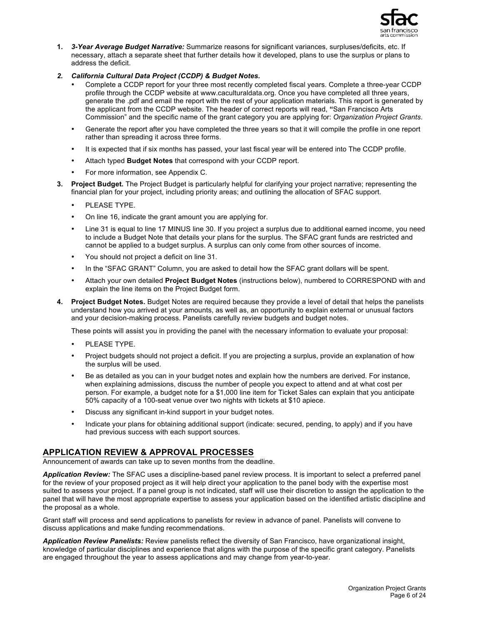

- **1.** *3-Year Average Budget Narrative:* Summarize reasons for significant variances, surpluses/deficits, etc. If necessary, attach a separate sheet that further details how it developed, plans to use the surplus or plans to address the deficit.
- *2. California Cultural Data Project (CCDP) & Budget Notes.*
	- Complete a CCDP report for your three most recently completed fiscal years. Complete a three-year CCDP profile through the CCDP website at www.caculturaldata.org. Once you have completed all three years, generate the .pdf and email the report with the rest of your application materials. This report is generated by the applicant from the CCDP website. The header of correct reports will read, **"**San Francisco Arts Commission" and the specific name of the grant category you are applying for: *Organization Project Grants*.
	- Generate the report after you have completed the three years so that it will compile the profile in one report rather than spreading it across three forms.
	- It is expected that if six months has passed, your last fiscal year will be entered into The CCDP profile.
	- Attach typed **Budget Notes** that correspond with your CCDP report.
	- For more information, see Appendix C.
- **3. Project Budget.** The Project Budget is particularly helpful for clarifying your project narrative; representing the financial plan for your project, including priority areas; and outlining the allocation of SFAC support.
	- PLEASE TYPE.
	- On line 16, indicate the grant amount you are applying for.
	- Line 31 is equal to line 17 MINUS line 30. If you project a surplus due to additional earned income, you need to include a Budget Note that details your plans for the surplus. The SFAC grant funds are restricted and cannot be applied to a budget surplus. A surplus can only come from other sources of income.
	- You should not project a deficit on line 31.
	- In the "SFAC GRANT" Column, you are asked to detail how the SFAC grant dollars will be spent.
	- Attach your own detailed **Project Budget Notes** (instructions below), numbered to CORRESPOND with and explain the line items on the Project Budget form.
- **4. Project Budget Notes.** Budget Notes are required because they provide a level of detail that helps the panelists understand how you arrived at your amounts, as well as, an opportunity to explain external or unusual factors and your decision-making process. Panelists carefully review budgets and budget notes.

These points will assist you in providing the panel with the necessary information to evaluate your proposal:

- PLEASE TYPE.
- Project budgets should not project a deficit. If you are projecting a surplus, provide an explanation of how the surplus will be used.
- Be as detailed as you can in your budget notes and explain how the numbers are derived. For instance, when explaining admissions, discuss the number of people you expect to attend and at what cost per person. For example, a budget note for a \$1,000 line item for Ticket Sales can explain that you anticipate 50% capacity of a 100-seat venue over two nights with tickets at \$10 apiece.
- Discuss any significant in-kind support in your budget notes.
- Indicate your plans for obtaining additional support (indicate: secured, pending, to apply) and if you have had previous success with each support sources.

#### **APPLICATION REVIEW & APPROVAL PROCESSES**

Announcement of awards can take up to seven months from the deadline.

*Application Review:* The SFAC uses a discipline-based panel review process. It is important to select a preferred panel for the review of your proposed project as it will help direct your application to the panel body with the expertise most suited to assess your project. If a panel group is not indicated, staff will use their discretion to assign the application to the panel that will have the most appropriate expertise to assess your application based on the identified artistic discipline and the proposal as a whole.

Grant staff will process and send applications to panelists for review in advance of panel. Panelists will convene to discuss applications and make funding recommendations.

*Application Review Panelists:* Review panelists reflect the diversity of San Francisco, have organizational insight, knowledge of particular disciplines and experience that aligns with the purpose of the specific grant category. Panelists are engaged throughout the year to assess applications and may change from year-to-year.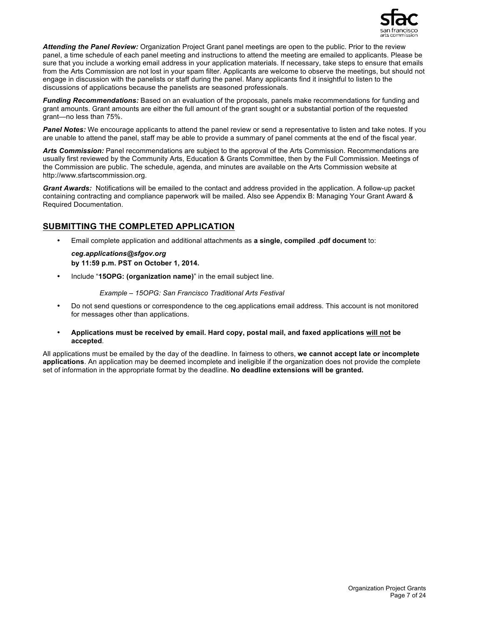

*Attending the Panel Review:* Organization Project Grant panel meetings are open to the public. Prior to the review panel, a time schedule of each panel meeting and instructions to attend the meeting are emailed to applicants. Please be sure that you include a working email address in your application materials. If necessary, take steps to ensure that emails from the Arts Commission are not lost in your spam filter. Applicants are welcome to observe the meetings, but should not engage in discussion with the panelists or staff during the panel. Many applicants find it insightful to listen to the discussions of applications because the panelists are seasoned professionals.

*Funding Recommendations:* Based on an evaluation of the proposals, panels make recommendations for funding and grant amounts. Grant amounts are either the full amount of the grant sought or a substantial portion of the requested grant—no less than 75%.

*Panel Notes:* We encourage applicants to attend the panel review or send a representative to listen and take notes. If you are unable to attend the panel, staff may be able to provide a summary of panel comments at the end of the fiscal year.

*Arts Commission:* Panel recommendations are subject to the approval of the Arts Commission. Recommendations are usually first reviewed by the Community Arts, Education & Grants Committee, then by the Full Commission. Meetings of the Commission are public. The schedule, agenda, and minutes are available on the Arts Commission website at http://www.sfartscommission.org.

*Grant Awards:* Notifications will be emailed to the contact and address provided in the application. A follow-up packet containing contracting and compliance paperwork will be mailed. Also see Appendix B: Managing Your Grant Award & Required Documentation.

#### **SUBMITTING THE COMPLETED APPLICATION**

• Email complete application and additional attachments as **a single, compiled .pdf document** to:

*ceg.applications@sfgov.org* **by 11:59 p.m. PST on October 1, 2014.** 

• Include "**15OPG: (organization name)**" in the email subject line.

*Example – 15OPG: San Francisco Traditional Arts Festival*

- Do not send questions or correspondence to the ceg.applications email address. This account is not monitored for messages other than applications.
- **Applications must be received by email. Hard copy, postal mail, and faxed applications will not be accepted**.

All applications must be emailed by the day of the deadline. In fairness to others, **we cannot accept late or incomplete applications**. An application may be deemed incomplete and ineligible if the organization does not provide the complete set of information in the appropriate format by the deadline. **No deadline extensions will be granted.**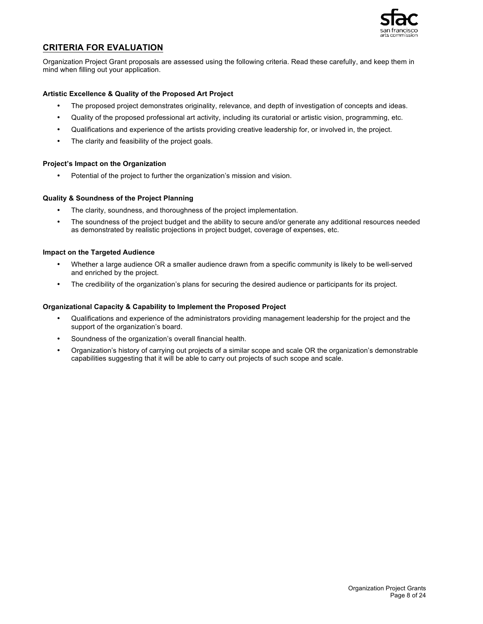

### **CRITERIA FOR EVALUATION**

Organization Project Grant proposals are assessed using the following criteria. Read these carefully, and keep them in mind when filling out your application.

#### **Artistic Excellence & Quality of the Proposed Art Project**

- The proposed project demonstrates originality, relevance, and depth of investigation of concepts and ideas.
- Quality of the proposed professional art activity, including its curatorial or artistic vision, programming, etc.
- Qualifications and experience of the artists providing creative leadership for, or involved in, the project.
- The clarity and feasibility of the project goals.

#### **Project's Impact on the Organization**

Potential of the project to further the organization's mission and vision.

#### **Quality & Soundness of the Project Planning**

- The clarity, soundness, and thoroughness of the project implementation.
- The soundness of the project budget and the ability to secure and/or generate any additional resources needed as demonstrated by realistic projections in project budget, coverage of expenses, etc.

#### **Impact on the Targeted Audience**

- Whether a large audience OR a smaller audience drawn from a specific community is likely to be well-served and enriched by the project.
- The credibility of the organization's plans for securing the desired audience or participants for its project.

#### **Organizational Capacity & Capability to Implement the Proposed Project**

- Qualifications and experience of the administrators providing management leadership for the project and the support of the organization's board.
- Soundness of the organization's overall financial health.
- Organization's history of carrying out projects of a similar scope and scale OR the organization's demonstrable capabilities suggesting that it will be able to carry out projects of such scope and scale.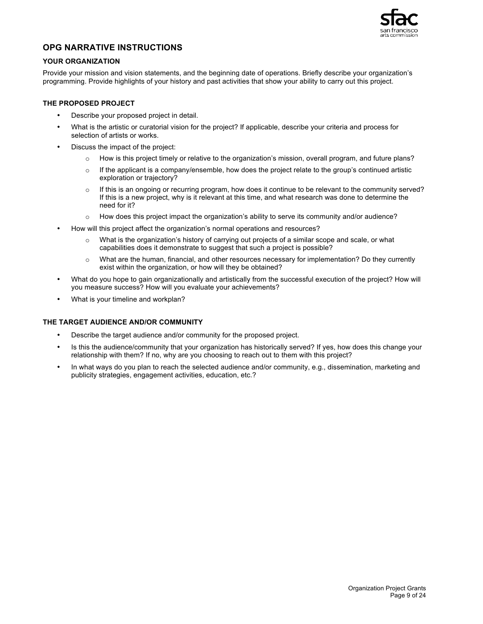

### **OPG NARRATIVE INSTRUCTIONS**

#### **YOUR ORGANIZATION**

Provide your mission and vision statements, and the beginning date of operations. Briefly describe your organization's programming. Provide highlights of your history and past activities that show your ability to carry out this project.

#### **THE PROPOSED PROJECT**

- Describe your proposed project in detail.
- What is the artistic or curatorial vision for the project? If applicable, describe your criteria and process for selection of artists or works.
- Discuss the impact of the project:
	- $\circ$  How is this project timely or relative to the organization's mission, overall program, and future plans?
	- $\circ$  If the applicant is a company/ensemble, how does the project relate to the group's continued artistic exploration or trajectory?
	- $\circ$  If this is an ongoing or recurring program, how does it continue to be relevant to the community served? If this is a new project, why is it relevant at this time, and what research was done to determine the need for it?
	- $\circ$  How does this project impact the organization's ability to serve its community and/or audience?
- How will this project affect the organization's normal operations and resources?
	- o What is the organization's history of carrying out projects of a similar scope and scale, or what capabilities does it demonstrate to suggest that such a project is possible?
	- $\circ$  What are the human, financial, and other resources necessary for implementation? Do they currently exist within the organization, or how will they be obtained?
- What do you hope to gain organizationally and artistically from the successful execution of the project? How will you measure success? How will you evaluate your achievements?
- What is your timeline and workplan?

#### **THE TARGET AUDIENCE AND/OR COMMUNITY**

- Describe the target audience and/or community for the proposed project.
- Is this the audience/community that your organization has historically served? If yes, how does this change your relationship with them? If no, why are you choosing to reach out to them with this project?
- In what ways do you plan to reach the selected audience and/or community, e.g., dissemination, marketing and publicity strategies, engagement activities, education, etc.?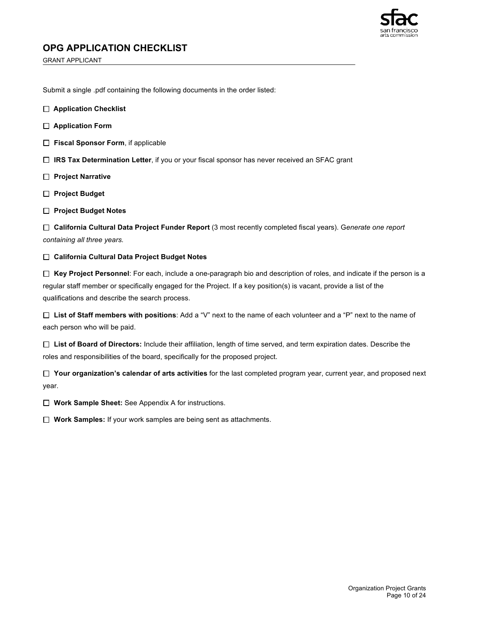

# **OPG APPLICATION CHECKLIST**

GRANT APPLICANT

Submit a single .pdf containing the following documents in the order listed:

- **Application Checklist**
- **Application Form**
- **Fiscal Sponsor Form**, if applicable
- **IRS Tax Determination Letter**, if you or your fiscal sponsor has never received an SFAC grant
- **Project Narrative**
- **Project Budget**
- **Project Budget Notes**

 **California Cultural Data Project Funder Report** (3 most recently completed fiscal years). G*enerate one report containing all three years.*

**California Cultural Data Project Budget Notes** 

 **Key Project Personnel**: For each, include a one-paragraph bio and description of roles, and indicate if the person is a regular staff member or specifically engaged for the Project. If a key position(s) is vacant, provide a list of the qualifications and describe the search process.

 **List of Staff members with positions**: Add a "V" next to the name of each volunteer and a "P" next to the name of each person who will be paid.

 **List of Board of Directors:** Include their affiliation, length of time served, and term expiration dates. Describe the roles and responsibilities of the board, specifically for the proposed project.

 **Your organization's calendar of arts activities** for the last completed program year, current year, and proposed next year.

**Work Sample Sheet:** See Appendix A for instructions.

**Work Samples:** If your work samples are being sent as attachments.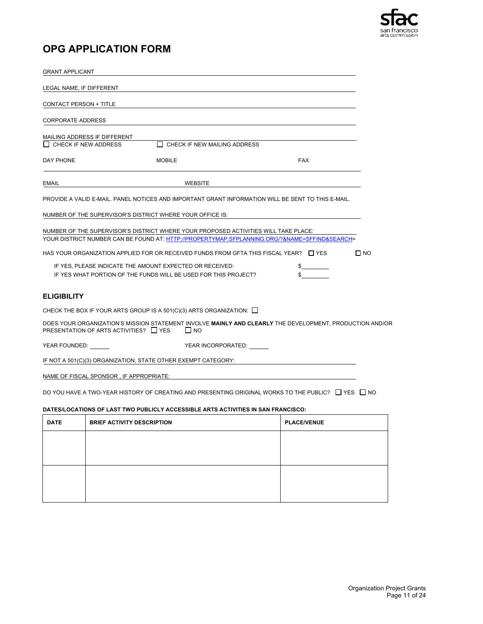

# **OPG APPLICATION FORM**

| <b>GRANT APPLICANT</b>         |                                                                                                                             |                |                                                                                                                                                                                      |                    |              |
|--------------------------------|-----------------------------------------------------------------------------------------------------------------------------|----------------|--------------------------------------------------------------------------------------------------------------------------------------------------------------------------------------|--------------------|--------------|
| LEGAL NAME, IF DIFFERENT       |                                                                                                                             |                |                                                                                                                                                                                      |                    |              |
| CONTACT PERSON + TITLE         |                                                                                                                             |                |                                                                                                                                                                                      |                    |              |
| <b>CORPORATE ADDRESS</b>       |                                                                                                                             |                |                                                                                                                                                                                      |                    |              |
| <b>TE CHECK IF NEW ADDRESS</b> | MAILING ADDRESS IF DIFFERENT                                                                                                |                | CHECK IF NEW MAILING ADDRESS                                                                                                                                                         |                    |              |
| <b>DAY PHONE</b>               |                                                                                                                             | <b>MOBILE</b>  |                                                                                                                                                                                      | <b>FAX</b>         |              |
| <b>EMAIL</b>                   |                                                                                                                             | <b>WEBSITE</b> |                                                                                                                                                                                      |                    |              |
|                                |                                                                                                                             |                | PROVIDE A VALID E-MAIL. PANEL NOTICES AND IMPORTANT GRANT INFORMATION WILL BE SENT TO THIS E-MAIL.                                                                                   |                    |              |
|                                | NUMBER OF THE SUPERVISOR'S DISTRICT WHERE YOUR OFFICE IS:                                                                   |                |                                                                                                                                                                                      |                    |              |
|                                |                                                                                                                             |                | NUMBER OF THE SUPERVISOR'S DISTRICT WHERE YOUR PROPOSED ACTIVITIES WILL TAKE PLACE:<br>YOUR DISTRICT NUMBER CAN BE FOUND AT: HTTP://PROPERTYMAP.SFPLANNING.ORG/?&NAME=SFFIND&SEARCH= |                    |              |
|                                |                                                                                                                             |                | HAS YOUR ORGANIZATION APPLIED FOR OR RECEIVED FUNDS FROM GFTA THIS FISCAL YEAR? $\Box$ YES                                                                                           |                    | $\square$ NO |
|                                | IF YES. PLEASE INDICATE THE AMOUNT EXPECTED OR RECEIVED:<br>IF YES WHAT PORTION OF THE FUNDS WILL BE USED FOR THIS PROJECT? |                |                                                                                                                                                                                      |                    |              |
| <b>ELIGIBILITY</b>             |                                                                                                                             |                |                                                                                                                                                                                      |                    |              |
|                                | CHECK THE BOX IF YOUR ARTS GROUP IS A 501(C)(3) ARTS ORGANIZATION: $\Box$                                                   |                |                                                                                                                                                                                      |                    |              |
|                                | PRESENTATION OF ARTS ACTIVITIES? $\Box$ YES                                                                                 | $\Box$ NO      | DOES YOUR ORGANIZATION'S MISSION STATEMENT INVOLVE MAINLY AND CLEARLY THE DEVELOPMENT, PRODUCTION AND/OR                                                                             |                    |              |
| YEAR FOUNDED:                  |                                                                                                                             |                | YEAR INCORPORATED:                                                                                                                                                                   |                    |              |
|                                | IF NOT A 501(C)(3) ORGANIZATION, STATE OTHER EXEMPT CATEGORY:                                                               |                |                                                                                                                                                                                      |                    |              |
|                                | NAME OF FISCAL SPONSOR, IF APPROPRIATE:                                                                                     |                |                                                                                                                                                                                      |                    |              |
|                                |                                                                                                                             |                | DO YOU HAVE A TWO-YEAR HISTORY OF CREATING AND PRESENTING ORIGINAL WORKS TO THE PUBLIC? $\Box$ YES $\Box$ NO                                                                         |                    |              |
|                                |                                                                                                                             |                | DATES/LOCATIONS OF LAST TWO PUBLICLY ACCESSIBLE ARTS ACTIVITIES IN SAN FRANCISCO:                                                                                                    |                    |              |
| <b>DATE</b>                    | <b>BRIEF ACTIVITY DESCRIPTION</b>                                                                                           |                |                                                                                                                                                                                      | <b>PLACE/VENUE</b> |              |

| <b>DATE</b> | <b>BRIEF ACTIVITY DESCRIPTION</b> | <b>PLACE/VENUE</b> |
|-------------|-----------------------------------|--------------------|
|             |                                   |                    |
|             |                                   |                    |
|             |                                   |                    |
|             |                                   |                    |
|             |                                   |                    |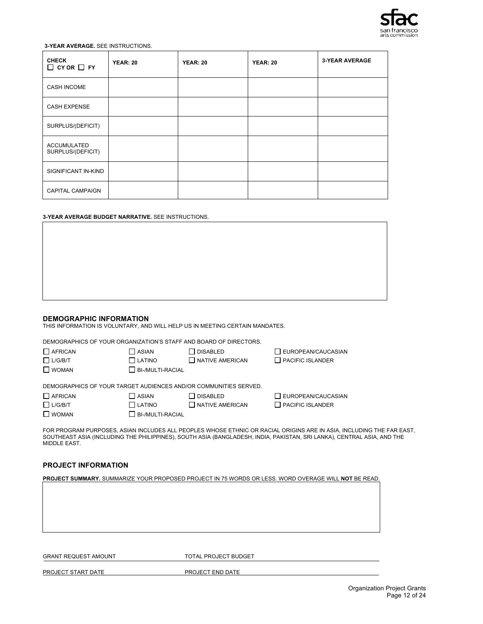

#### **3-YEAR AVERAGE.** SEE INSTRUCTIONS.

| <b>CHECK</b><br>$\Box$ CY OR $\Box$ FY  | <b>YEAR: 20</b> | <b>YEAR: 20</b> | <b>YEAR: 20</b> | <b>3-YEAR AVERAGE</b> |
|-----------------------------------------|-----------------|-----------------|-----------------|-----------------------|
| <b>CASH INCOME</b>                      |                 |                 |                 |                       |
| <b>CASH EXPENSE</b>                     |                 |                 |                 |                       |
| SURPLUS/(DEFICIT)                       |                 |                 |                 |                       |
| <b>ACCUMULATED</b><br>SURPLUS/(DEFICIT) |                 |                 |                 |                       |
| SIGNIFICANT IN-KIND                     |                 |                 |                 |                       |
| <b>CAPITAL CAMPAIGN</b>                 |                 |                 |                 |                       |

#### **3-YEAR AVERAGE BUDGET NARRATIVE.** SEE INSTRUCTIONS.

#### **DEMOGRAPHIC INFORMATION**

THIS INFORMATION IS VOLUNTARY, AND WILL HELP US IN MEETING CERTAIN MANDATES.

DEMOGRAPHICS OF YOUR ORGANIZATION'S STAFF AND BOARD OF DIRECTORS.

| c<br>⊰แ<br>- |
|--------------|
|              |

 $\Box$  WOMAN  $\Box$  BI-/MULTI-RACIAL

 $\Box$  ASIAN  $\Box$  DISABLED  $\Box$  EUROPEAN/CAUCASIAN  $\Box$  L/G/B/T  $\Box$  LATINO  $\Box$  NATIVE AMERICAN  $\Box$  PACIFIC ISLANDER

DEMOGRAPHICS OF YOUR TARGET AUDIENCES AND/OR COMMUNITIES SERVED.

| $\Box$ AFRICAN  |
|-----------------|
| $\prod L/G/B/T$ |

| $\Box$ AFRICAN | $\Box$ ASIAN            |
|----------------|-------------------------|
| $\Box$ L/G/B/T | $\Box$ Latino           |
| $\Box$ WOMAN   | $\Box$ BI-/MULTI-RACIAL |

 $\Box$  ASIAN  $\Box$  DISABLED  $\Box$  EUROPEAN/CAUCASIAN

L/G/B/T LATINO NATIVE AMERICAN PACIFIC ISLANDER

FOR PROGRAM PURPOSES, ASIAN INCLUDES ALL PEOPLES WHOSE ETHNIC OR RACIAL ORIGINS ARE IN ASIA, INCLUDING THE FAR EAST, SOUTHEAST ASIA (INCLUDING THE PHILIPPINES), SOUTH ASIA (BANGLADESH, INDIA, PAKISTAN, SRI LANKA), CENTRAL ASIA, AND THE MIDDLE EAST.

#### **PROJECT INFORMATION**

**PROJECT SUMMARY.** SUMMARIZE YOUR PROPOSED PROJECT IN 75 WORDS OR LESS. WORD OVERAGE WILL **NOT** BE READ.

PROJECT START DATE PROJECT END DATE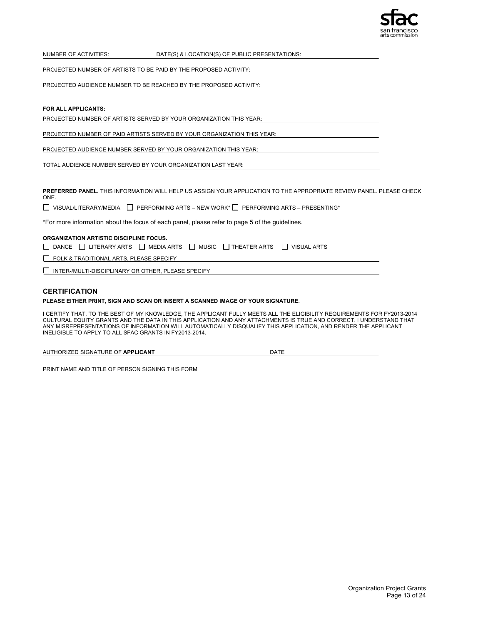

NUMBER OF ACTIVITIES: DATE(S) & LOCATION(S) OF PUBLIC PRESENTATIONS:

PROJECTED NUMBER OF ARTISTS TO BE PAID BY THE PROPOSED ACTIVITY:

PROJECTED AUDIENCE NUMBER TO BE REACHED BY THE PROPOSED ACTIVITY:

#### **FOR ALL APPLICANTS:**

PROJECTED NUMBER OF ARTISTS SERVED BY YOUR ORGANIZATION THIS YEAR:

PROJECTED NUMBER OF PAID ARTISTS SERVED BY YOUR ORGANIZATION THIS YEAR:

PROJECTED AUDIENCE NUMBER SERVED BY YOUR ORGANIZATION THIS YEAR:

TOTAL AUDIENCE NUMBER SERVED BY YOUR ORGANIZATION LAST YEAR:

**PREFERRED PANEL.** THIS INFORMATION WILL HELP US ASSIGN YOUR APPLICATION TO THE APPROPRIATE REVIEW PANEL. PLEASE CHECK ONE.

 $\square$  VISUAL/LITERARY/MEDIA  $\square$  PERFORMING ARTS – NEW WORK\*  $\square$  PERFORMING ARTS – PRESENTING\*

\*For more information about the focus of each panel, please refer to page 5 of the guidelines.

#### **ORGANIZATION ARTISTIC DISCIPLINE FOCUS.**

 $\Box$  DANCE  $\Box$  LITERARY ARTS  $\Box$  MEDIA ARTS  $\Box$  MUSIC  $\Box$  THEATER ARTS  $\Box$  VISUAL ARTS

 $\Box$  FOLK & TRADITIONAL ARTS, PLEASE SPECIFY

 $\Box$  INTER-/MULTI-DISCIPLINARY OR OTHER, PLEASE SPECIFY

#### **CERTIFICATION**

#### **PLEASE EITHER PRINT, SIGN AND SCAN OR INSERT A SCANNED IMAGE OF YOUR SIGNATURE.**

I CERTIFY THAT, TO THE BEST OF MY KNOWLEDGE, THE APPLICANT FULLY MEETS ALL THE ELIGIBILITY REQUIREMENTS FOR FY2013-2014 CULTURAL EQUITY GRANTS AND THE DATA IN THIS APPLICATION AND ANY ATTACHMENTS IS TRUE AND CORRECT. I UNDERSTAND THAT ANY MISREPRESENTATIONS OF INFORMATION WILL AUTOMATICALLY DISQUALIFY THIS APPLICATION, AND RENDER THE APPLICANT INELIGIBLE TO APPLY TO ALL SFAC GRANTS IN FY2013-2014.

AUTHORIZED SIGNATURE OF **APPLICANT** DATE

PRINT NAME AND TITLE OF PERSON SIGNING THIS FORM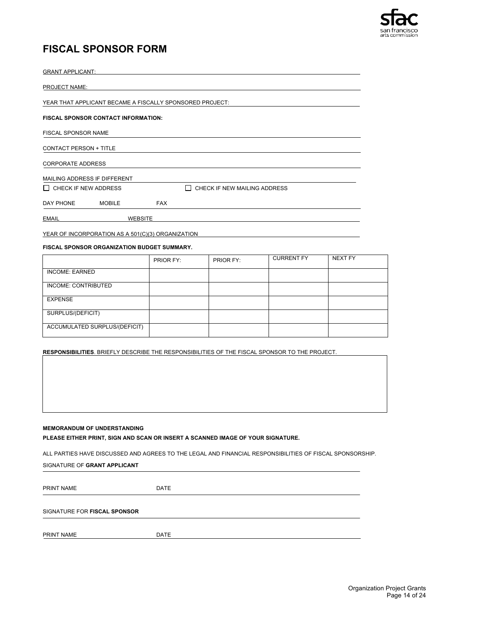

# **FISCAL SPONSOR FORM**

| <b>GRANT APPLICANT:</b>                                  |
|----------------------------------------------------------|
| <b>PROJECT NAME:</b>                                     |
| YEAR THAT APPLICANT BECAME A FISCALLY SPONSORED PROJECT: |
| <b>FISCAL SPONSOR CONTACT INFORMATION:</b>               |
| <b>FISCAL SPONSOR NAME</b>                               |
| <b>CONTACT PERSON + TITLE</b>                            |
| <b>CORPORATE ADDRESS</b>                                 |
| MAILING ADDRESS IF DIFFERENT                             |
| I I CHECK IF NEW ADDRESS<br>CHECK IF NEW MAILING ADDRESS |
| DAY PHONE<br><b>FAX</b><br><b>MOBILE</b>                 |
| <b>EMAIL</b><br><b>WEBSITE</b>                           |
| YEAR OF INCORPORATION AS A 501(C)(3) ORGANIZATION        |

**FISCAL SPONSOR ORGANIZATION BUDGET SUMMARY.**

|                               | PRIOR FY: | PRIOR FY: | <b>CURRENT FY</b> | <b>NEXT FY</b> |
|-------------------------------|-----------|-----------|-------------------|----------------|
| <b>INCOME: EARNED</b>         |           |           |                   |                |
| INCOME: CONTRIBUTED           |           |           |                   |                |
| <b>EXPENSE</b>                |           |           |                   |                |
| SURPLUS/(DEFICIT)             |           |           |                   |                |
| ACCUMULATED SURPLUS/(DEFICIT) |           |           |                   |                |

**RESPONSIBILITIES**. BRIEFLY DESCRIBE THE RESPONSIBILITIES OF THE FISCAL SPONSOR TO THE PROJECT.

#### **MEMORANDUM OF UNDERSTANDING**

**PLEASE EITHER PRINT, SIGN AND SCAN OR INSERT A SCANNED IMAGE OF YOUR SIGNATURE.**

ALL PARTIES HAVE DISCUSSED AND AGREES TO THE LEGAL AND FINANCIAL RESPONSIBILITIES OF FISCAL SPONSORSHIP.

#### SIGNATURE OF **GRANT APPLICANT**

| PRINT NAME                   | DATE |
|------------------------------|------|
| SIGNATURE FOR FISCAL SPONSOR |      |
| PRINT NAME                   | DATE |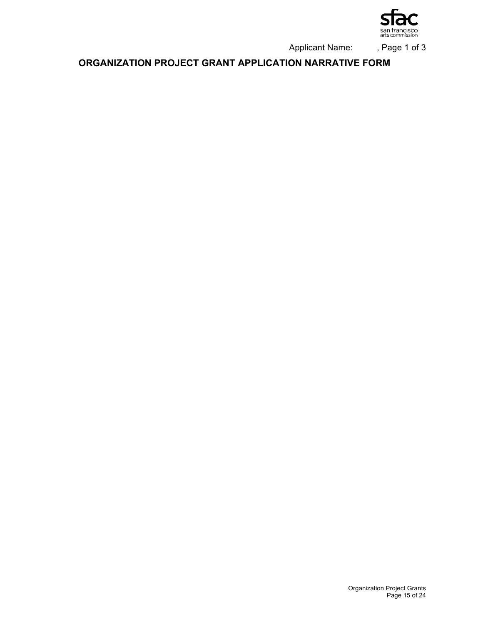

Applicant Name: , Page 1 of 3

# **ORGANIZATION PROJECT GRANT APPLICATION NARRATIVE FORM**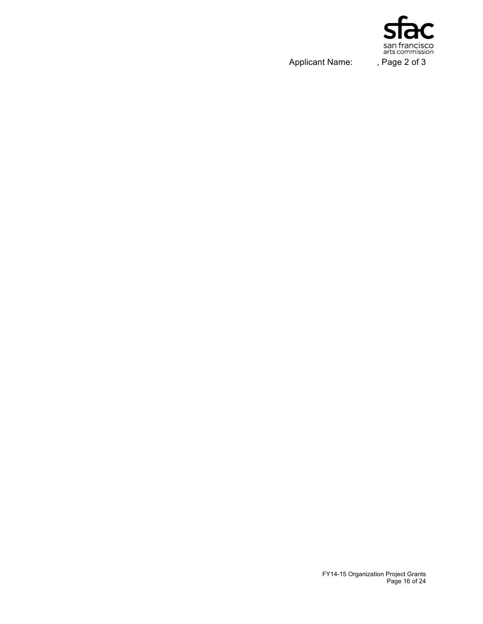

Applicant Name: , Page 2 of 3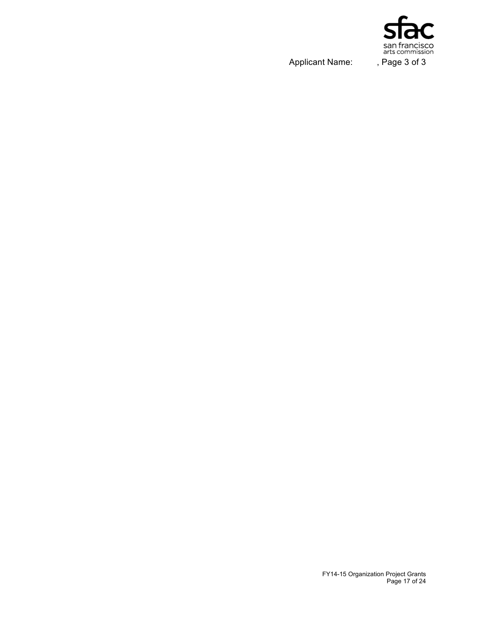

Applicant Name: , Page 3 of 3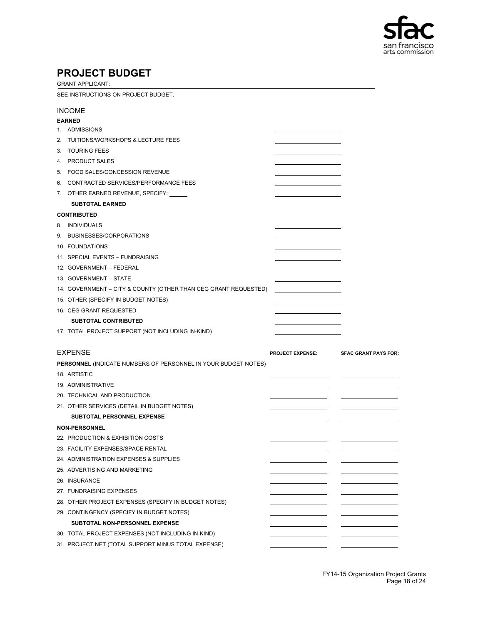

# **PROJECT BUDGET**

GRANT APPLICANT:

| <b>INCOME</b>                                                   |                         |                             |
|-----------------------------------------------------------------|-------------------------|-----------------------------|
| <b>EARNED</b>                                                   |                         |                             |
| 1. ADMISSIONS                                                   |                         |                             |
| 2. TUITIONS/WORKSHOPS & LECTURE FEES                            |                         |                             |
| 3. TOURING FEES                                                 |                         |                             |
| 4. PRODUCT SALES                                                |                         |                             |
| 5. FOOD SALES/CONCESSION REVENUE                                |                         |                             |
| 6. CONTRACTED SERVICES/PERFORMANCE FEES                         |                         |                             |
| 7. OTHER EARNED REVENUE, SPECIFY:                               |                         |                             |
| <b>SUBTOTAL EARNED</b>                                          |                         |                             |
| <b>CONTRIBUTED</b>                                              |                         |                             |
| 8. INDIVIDUALS                                                  |                         |                             |
| 9. BUSINESSES/CORPORATIONS                                      |                         |                             |
| 10. FOUNDATIONS                                                 |                         |                             |
| 11. SPECIAL EVENTS - FUNDRAISING                                |                         |                             |
| 12. GOVERNMENT - FEDERAL                                        |                         |                             |
| 13. GOVERNMENT - STATE                                          |                         |                             |
| 14. GOVERNMENT - CITY & COUNTY (OTHER THAN CEG GRANT REQUESTED) |                         |                             |
| 15. OTHER (SPECIFY IN BUDGET NOTES)                             |                         |                             |
| 16. CEG GRANT REQUESTED                                         |                         |                             |
| <b>SUBTOTAL CONTRIBUTED</b>                                     |                         |                             |
| 17. TOTAL PROJECT SUPPORT (NOT INCLUDING IN-KIND)               |                         |                             |
|                                                                 |                         |                             |
| <b>EXPENSE</b>                                                  | <b>PROJECT EXPENSE:</b> | <b>SFAC GRANT PAYS FOR:</b> |
| PERSONNEL (INDICATE NUMBERS OF PERSONNEL IN YOUR BUDGET NOTES)  |                         |                             |
|                                                                 |                         |                             |
| 18. ARTISTIC                                                    |                         |                             |
| 19. ADMINISTRATIVE                                              |                         |                             |
| 20. TECHNICAL AND PRODUCTION                                    |                         |                             |
| 21. OTHER SERVICES (DETAIL IN BUDGET NOTES)                     |                         |                             |
| SUBTOTAL PERSONNEL EXPENSE                                      |                         |                             |
| <b>NON-PERSONNEL</b>                                            |                         |                             |
| 22. PRODUCTION & EXHIBITION COSTS                               |                         |                             |
| 23. FACILITY EXPENSES/SPACE RENTAL                              |                         |                             |
| 24. ADMINISTRATION EXPENSES & SUPPLIES                          |                         |                             |
| 25. ADVERTISING AND MARKETING                                   |                         |                             |
| 26. INSURANCE                                                   |                         |                             |
| 27. FUNDRAISING EXPENSES                                        |                         |                             |
| 28. OTHER PROJECT EXPENSES (SPECIFY IN BUDGET NOTES)            |                         |                             |
| 29. CONTINGENCY (SPECIFY IN BUDGET NOTES)                       |                         |                             |
| SUBTOTAL NON-PERSONNEL EXPENSE                                  |                         |                             |
| 30. TOTAL PROJECT EXPENSES (NOT INCLUDING IN-KIND)              |                         |                             |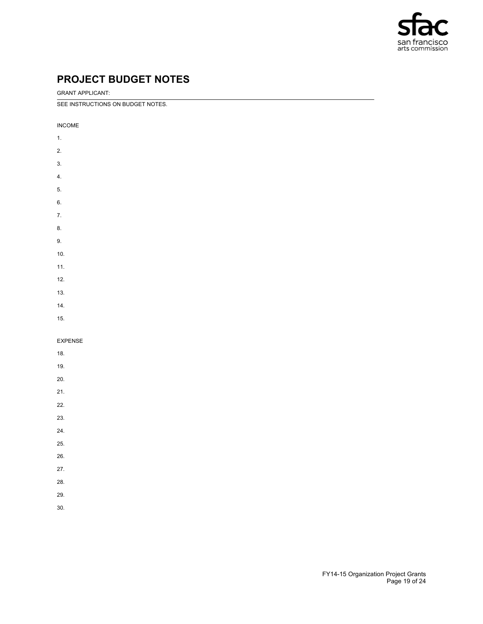

# **PROJECT BUDGET NOTES**

GRANT APPLICANT:

SEE INSTRUCTIONS ON BUDGET NOTES.

INCOME

- 1.
- 2.
- 3.
- 4.
- 5.
- 6.
- 7.
- 8.
- 
- 9.
- 10.
- 11.
- 12.
- 13.
- 14.
- 15.

#### EXPENSE

- 18.
- 19.
- 20.
- 21.
- 22.
- 23.
- 24.
- 25.
- 26.
- 27.
- 28.
- 29.
- 
- 30.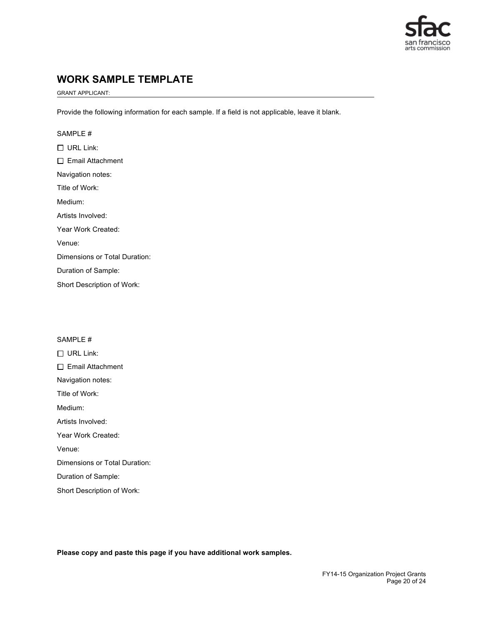

# **WORK SAMPLE TEMPLATE**

GRANT APPLICANT:

Provide the following information for each sample. If a field is not applicable, leave it blank.

SAMPLE #  $\Box$  URL Link: □ Email Attachment Navigation notes: Title of Work: Medium: Artists Involved: Year Work Created: Venue: Dimensions or Total Duration: Duration of Sample: Short Description of Work:

SAMPLE #  $\Box$  URL Link: □ Email Attachment Navigation notes: Title of Work: Medium: Artists Involved: Year Work Created: Venue: Dimensions or Total Duration: Duration of Sample: Short Description of Work:

**Please copy and paste this page if you have additional work samples.**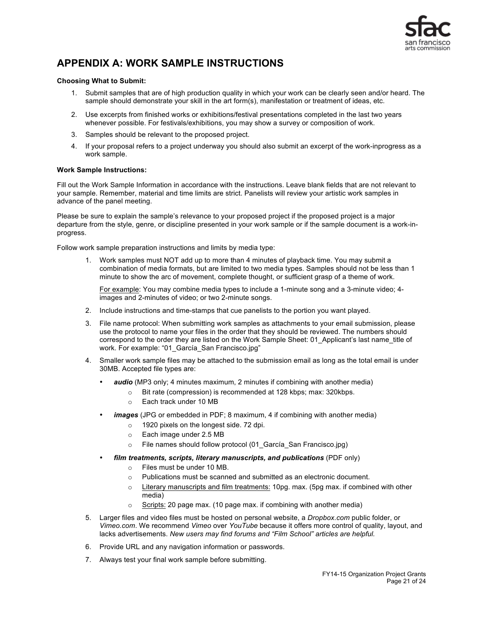

# **APPENDIX A: WORK SAMPLE INSTRUCTIONS**

#### **Choosing What to Submit:**

- 1. Submit samples that are of high production quality in which your work can be clearly seen and/or heard. The sample should demonstrate your skill in the art form(s), manifestation or treatment of ideas, etc.
- 2. Use excerpts from finished works or exhibitions/festival presentations completed in the last two years whenever possible. For festivals/exhibitions, you may show a survey or composition of work.
- 3. Samples should be relevant to the proposed project.
- 4. If your proposal refers to a project underway you should also submit an excerpt of the work-inprogress as a work sample.

#### **Work Sample Instructions:**

Fill out the Work Sample Information in accordance with the instructions. Leave blank fields that are not relevant to your sample. Remember, material and time limits are strict. Panelists will review your artistic work samples in advance of the panel meeting.

Please be sure to explain the sample's relevance to your proposed project if the proposed project is a major departure from the style, genre, or discipline presented in your work sample or if the sample document is a work-inprogress.

Follow work sample preparation instructions and limits by media type:

1. Work samples must NOT add up to more than 4 minutes of playback time. You may submit a combination of media formats, but are limited to two media types. Samples should not be less than 1 minute to show the arc of movement, complete thought, or sufficient grasp of a theme of work.

For example: You may combine media types to include a 1-minute song and a 3-minute video; 4 images and 2-minutes of video; or two 2-minute songs.

- 2. Include instructions and time-stamps that cue panelists to the portion you want played.
- 3. File name protocol: When submitting work samples as attachments to your email submission, please use the protocol to name your files in the order that they should be reviewed. The numbers should correspond to the order they are listed on the Work Sample Sheet: 01\_Applicant's last name\_title of work. For example: "01 García San Francisco.jpg"
- 4. Smaller work sample files may be attached to the submission email as long as the total email is under 30MB. Accepted file types are:
	- *audio* (MP3 only; 4 minutes maximum, 2 minutes if combining with another media)
		- o Bit rate (compression) is recommended at 128 kbps; max: 320kbps.
		- o Each track under 10 MB
	- images (JPG or embedded in PDF; 8 maximum, 4 if combining with another media)
		- o 1920 pixels on the longest side. 72 dpi.
		- o Each image under 2.5 MB
		- o File names should follow protocol (01\_García\_San Francisco.jpg)
	- *film treatments, scripts, literary manuscripts, and publications* (PDF only)
		- o Files must be under 10 MB.
		- o Publications must be scanned and submitted as an electronic document.
		- $\circ$  Literary manuscripts and film treatments: 10pg. max. (5pg max. if combined with other media)
		- o Scripts: 20 page max. (10 page max. if combining with another media)
- 5. Larger files and video files must be hosted on personal website, a *Dropbox.com* public folder, or *Vimeo.com*. We recommend *Vimeo* over *YouTube* because it offers more control of quality, layout, and lacks advertisements. *New users may find forums and "Film School" articles are helpful.*
- 6. Provide URL and any navigation information or passwords.
- 7. Always test your final work sample before submitting.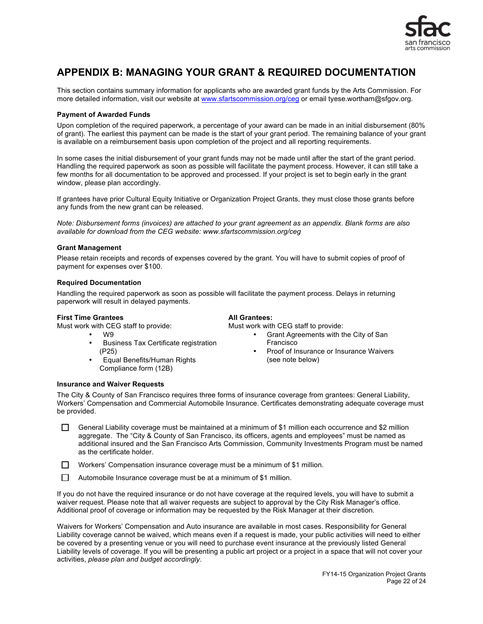

# **APPENDIX B: MANAGING YOUR GRANT & REQUIRED DOCUMENTATION**

This section contains summary information for applicants who are awarded grant funds by the Arts Commission. For more detailed information, visit our website at www.sfartscommission.org/ceg or email tyese.wortham@sfgov.org.

#### **Payment of Awarded Funds**

Upon completion of the required paperwork, a percentage of your award can be made in an initial disbursement (80% of grant). The earliest this payment can be made is the start of your grant period. The remaining balance of your grant is available on a reimbursement basis upon completion of the project and all reporting requirements.

In some cases the initial disbursement of your grant funds may not be made until after the start of the grant period. Handling the required paperwork as soon as possible will facilitate the payment process. However, it can still take a few months for all documentation to be approved and processed. If your project is set to begin early in the grant window, please plan accordingly.

If grantees have prior Cultural Equity Initiative or Organization Project Grants, they must close those grants before any funds from the new grant can be released.

*Note: Disbursement forms (invoices) are attached to your grant agreement as an appendix. Blank forms are also available for download from the CEG website: www.sfartscommission.org/ceg*

#### **Grant Management**

Please retain receipts and records of expenses covered by the grant. You will have to submit copies of proof of payment for expenses over \$100.

#### **Required Documentation**

Handling the required paperwork as soon as possible will facilitate the payment process. Delays in returning paperwork will result in delayed payments.

#### **First Time Grantees**

Must work with CEG staff to provide:

- W9
- Business Tax Certificate registration (P25)
- Equal Benefits/Human Rights Compliance form (12B)

**All Grantees:**

Must work with CEG staff to provide:

- Grant Agreements with the City of San Francisco
- Proof of Insurance or Insurance Waivers (see note below)

#### **Insurance and Waiver Requests**

The City & County of San Francisco requires three forms of insurance coverage from grantees: General Liability, Workers' Compensation and Commercial Automobile Insurance. Certificates demonstrating adequate coverage must be provided.

- $\Box$ General Liability coverage must be maintained at a minimum of \$1 million each occurrence and \$2 million aggregate. The "City & County of San Francisco, its officers, agents and employees" must be named as additional insured and the San Francisco Arts Commission, Community Investments Program must be named as the certificate holder.
- Workers' Compensation insurance coverage must be a minimum of \$1 million.
- Automobile Insurance coverage must be at a minimum of \$1 million.

If you do not have the required insurance or do not have coverage at the required levels, you will have to submit a waiver request. Please note that all waiver requests are subject to approval by the City Risk Manager's office. Additional proof of coverage or information may be requested by the Risk Manager at their discretion.

Waivers for Workers' Compensation and Auto insurance are available in most cases. Responsibility for General Liability coverage cannot be waived, which means even if a request is made, your public activities will need to either be covered by a presenting venue or you will need to purchase event insurance at the previously listed General Liability levels of coverage. If you will be presenting a public art project or a project in a space that will not cover your activities, *please plan and budget accordingly*.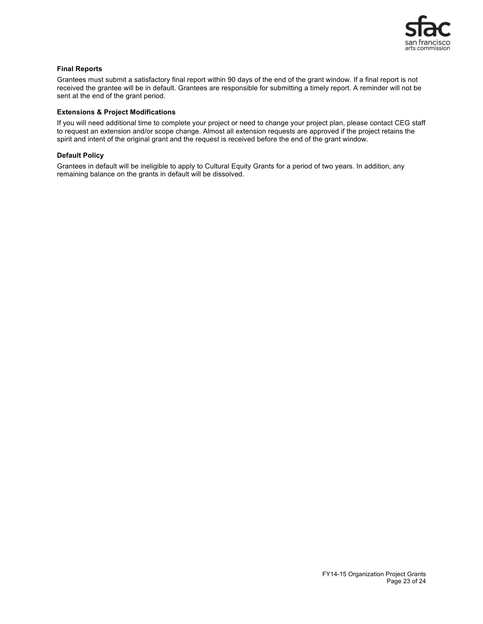

#### **Final Reports**

Grantees must submit a satisfactory final report within 90 days of the end of the grant window. If a final report is not received the grantee will be in default. Grantees are responsible for submitting a timely report. A reminder will not be sent at the end of the grant period.

#### **Extensions & Project Modifications**

If you will need additional time to complete your project or need to change your project plan, please contact CEG staff to request an extension and/or scope change. Almost all extension requests are approved if the project retains the spirit and intent of the original grant and the request is received before the end of the grant window.

#### **Default Policy**

Grantees in default will be ineligible to apply to Cultural Equity Grants for a period of two years. In addition, any remaining balance on the grants in default will be dissolved.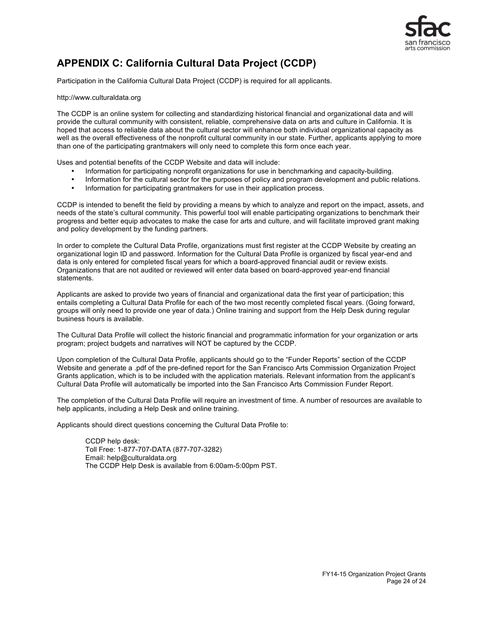

# **APPENDIX C: California Cultural Data Project (CCDP)**

Participation in the California Cultural Data Project (CCDP) is required for all applicants.

#### http://www.culturaldata.org

The CCDP is an online system for collecting and standardizing historical financial and organizational data and will provide the cultural community with consistent, reliable, comprehensive data on arts and culture in California. It is hoped that access to reliable data about the cultural sector will enhance both individual organizational capacity as well as the overall effectiveness of the nonprofit cultural community in our state. Further, applicants applying to more than one of the participating grantmakers will only need to complete this form once each year.

Uses and potential benefits of the CCDP Website and data will include:

- Information for participating nonprofit organizations for use in benchmarking and capacity-building.
- Information for the cultural sector for the purposes of policy and program development and public relations.<br>• Information for participating grantmakers for use in their application process.
- Information for participating grantmakers for use in their application process.

CCDP is intended to benefit the field by providing a means by which to analyze and report on the impact, assets, and needs of the state's cultural community. This powerful tool will enable participating organizations to benchmark their progress and better equip advocates to make the case for arts and culture, and will facilitate improved grant making and policy development by the funding partners.

In order to complete the Cultural Data Profile, organizations must first register at the CCDP Website by creating an organizational login ID and password. Information for the Cultural Data Profile is organized by fiscal year-end and data is only entered for completed fiscal years for which a board-approved financial audit or review exists. Organizations that are not audited or reviewed will enter data based on board-approved year-end financial statements.

Applicants are asked to provide two years of financial and organizational data the first year of participation; this entails completing a Cultural Data Profile for each of the two most recently completed fiscal years. (Going forward, groups will only need to provide one year of data.) Online training and support from the Help Desk during regular business hours is available.

The Cultural Data Profile will collect the historic financial and programmatic information for your organization or arts program; project budgets and narratives will NOT be captured by the CCDP.

Upon completion of the Cultural Data Profile, applicants should go to the "Funder Reports" section of the CCDP Website and generate a .pdf of the pre-defined report for the San Francisco Arts Commission Organization Project Grants application, which is to be included with the application materials. Relevant information from the applicant's Cultural Data Profile will automatically be imported into the San Francisco Arts Commission Funder Report.

The completion of the Cultural Data Profile will require an investment of time. A number of resources are available to help applicants, including a Help Desk and online training.

Applicants should direct questions concerning the Cultural Data Profile to:

CCDP help desk: Toll Free: 1-877-707-DATA (877-707-3282) Email: help@culturaldata.org The CCDP Help Desk is available from 6:00am-5:00pm PST.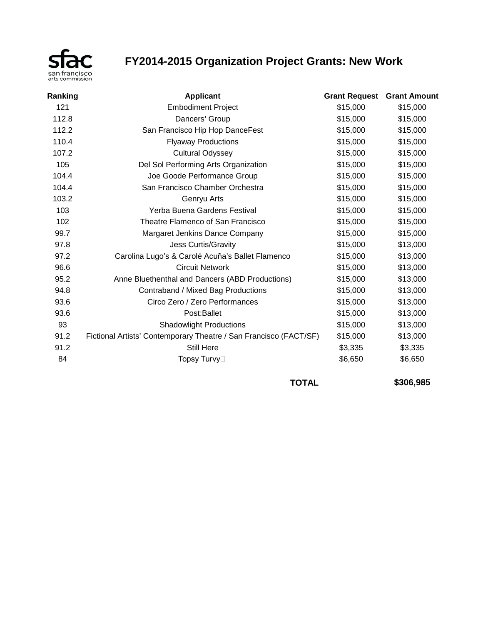

# **FY2014-2015 Organization Project Grants: New Work**

| Ranking<br><b>Applicant</b>                                               | <b>Grant Request</b> | <b>Grant Amount</b> |
|---------------------------------------------------------------------------|----------------------|---------------------|
| 121<br><b>Embodiment Project</b>                                          | \$15,000             | \$15,000            |
| 112.8<br>Dancers' Group                                                   | \$15,000             | \$15,000            |
| 112.2<br>San Francisco Hip Hop DanceFest                                  | \$15,000             | \$15,000            |
| 110.4<br><b>Flyaway Productions</b>                                       | \$15,000             | \$15,000            |
| 107.2<br><b>Cultural Odyssey</b>                                          | \$15,000             | \$15,000            |
| 105<br>Del Sol Performing Arts Organization                               | \$15,000             | \$15,000            |
| 104.4<br>Joe Goode Performance Group                                      | \$15,000             | \$15,000            |
| 104.4<br>San Francisco Chamber Orchestra                                  | \$15,000             | \$15,000            |
| 103.2<br>Genryu Arts                                                      | \$15,000             | \$15,000            |
| 103<br>Yerba Buena Gardens Festival                                       | \$15,000             | \$15,000            |
| 102<br>Theatre Flamenco of San Francisco                                  | \$15,000             | \$15,000            |
| 99.7<br>Margaret Jenkins Dance Company                                    | \$15,000             | \$15,000            |
| 97.8<br>Jess Curtis/Gravity                                               | \$15,000             | \$13,000            |
| 97.2<br>Carolina Lugo's & Carolé Acuña's Ballet Flamenco                  | \$15,000             | \$13,000            |
| 96.6<br><b>Circuit Network</b>                                            | \$15,000             | \$13,000            |
| 95.2<br>Anne Bluethenthal and Dancers (ABD Productions)                   | \$15,000             | \$13,000            |
| 94.8<br>Contraband / Mixed Bag Productions                                | \$15,000             | \$13,000            |
| 93.6<br>Circo Zero / Zero Performances                                    | \$15,000             | \$13,000            |
| 93.6<br>Post:Ballet                                                       | \$15,000             | \$13,000            |
| 93<br><b>Shadowlight Productions</b>                                      | \$15,000             | \$13,000            |
| 91.2<br>Fictional Artists' Contemporary Theatre / San Francisco (FACT/SF) | \$15,000             | \$13,000            |
| 91.2<br>Still Here                                                        | \$3,335              | \$3,335             |
| 84<br>Topsy Turvy□                                                        | \$6,650              | \$6,650             |

**TOTAL \$306,985**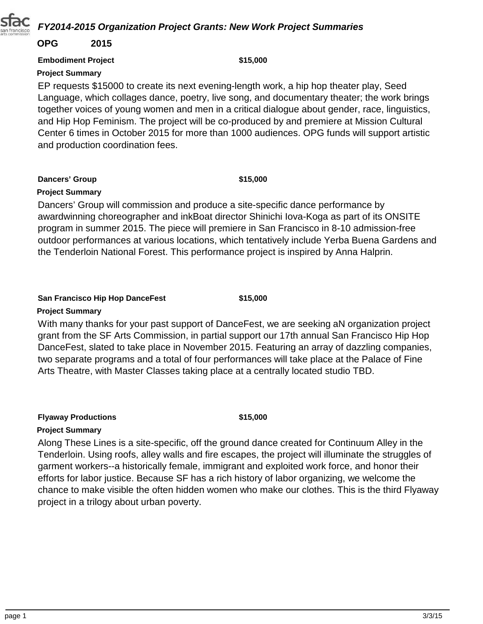| franci<br>commis |
|------------------|

# **Embodiment Project**

# **Project Summary**

EP requests \$15000 to create its next evening-length work, a hip hop theater play, Seed Language, which collages dance, poetry, live song, and documentary theater; the work brings together voices of young women and men in a critical dialogue about gender, race, linguistics, and Hip Hop Feminism. The project will be co-produced by and premiere at Mission Cultural Center 6 times in October 2015 for more than 1000 audiences. OPG funds will support artistic and production coordination fees.

**\$15,000**

**\$15,000**

**\$15,000**

**\$15,000**

### **Dancers' Group**

# **Project Summary**

Dancers' Group will commission and produce a site-specific dance performance by awardwinning choreographer and inkBoat director Shinichi Iova-Koga as part of its ONSITE program in summer 2015. The piece will premiere in San Francisco in 8-10 admission-free outdoor performances at various locations, which tentatively include Yerba Buena Gardens and the Tenderloin National Forest. This performance project is inspired by Anna Halprin.

# **San Francisco Hip Hop DanceFest**

**Project Summary**

With many thanks for your past support of DanceFest, we are seeking aN organization project grant from the SF Arts Commission, in partial support our 17th annual San Francisco Hip Hop DanceFest, slated to take place in November 2015. Featuring an array of dazzling companies, two separate programs and a total of four performances will take place at the Palace of Fine Arts Theatre, with Master Classes taking place at a centrally located studio TBD.

### **Flyaway Productions**

### **Project Summary**

Along These Lines is a site-specific, off the ground dance created for Continuum Alley in the Tenderloin. Using roofs, alley walls and fire escapes, the project will illuminate the struggles of garment workers--a historically female, immigrant and exploited work force, and honor their efforts for labor justice. Because SF has a rich history of labor organizing, we welcome the chance to make visible the often hidden women who make our clothes. This is the third Flyaway project in a trilogy about urban poverty.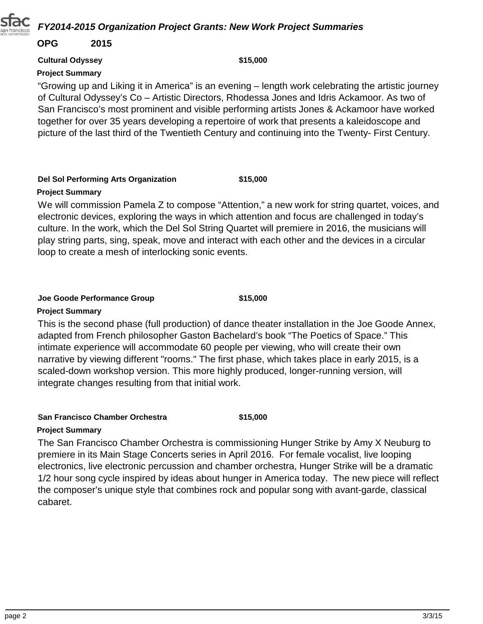| <b>OPG</b> | 2015 |
|------------|------|
|            |      |

# **Cultural Odyssey**

# **Project Summary**

"Growing up and Liking it in America" is an evening – length work celebrating the artistic journey of Cultural Odyssey's Co – Artistic Directors, Rhodessa Jones and Idris Ackamoor. As two of San Francisco's most prominent and visible performing artists Jones & Ackamoor have worked together for over 35 years developing a repertoire of work that presents a kaleidoscope and picture of the last third of the Twentieth Century and continuing into the Twenty- First Century.

**\$15,000**

#### **Del Sol Performing Arts Organization \$15,000**

# **Project Summary**

We will commission Pamela Z to compose "Attention," a new work for string quartet, voices, and electronic devices, exploring the ways in which attention and focus are challenged in today's culture. In the work, which the Del Sol String Quartet will premiere in 2016, the musicians will play string parts, sing, speak, move and interact with each other and the devices in a circular loop to create a mesh of interlocking sonic events.

# **Joe Goode Performance Group**

**\$15,000**

# **Project Summary**

This is the second phase (full production) of dance theater installation in the Joe Goode Annex, adapted from French philosopher Gaston Bachelard's book "The Poetics of Space." This intimate experience will accommodate 60 people per viewing, who will create their own narrative by viewing different "rooms." The first phase, which takes place in early 2015, is a scaled-down workshop version. This more highly produced, longer-running version, will integrate changes resulting from that initial work.

# **San Francisco Chamber Orchestra**

**\$15,000**

# **Project Summary**

The San Francisco Chamber Orchestra is commissioning Hunger Strike by Amy X Neuburg to premiere in its Main Stage Concerts series in April 2016. For female vocalist, live looping electronics, live electronic percussion and chamber orchestra, Hunger Strike will be a dramatic 1/2 hour song cycle inspired by ideas about hunger in America today. The new piece will reflect the composer's unique style that combines rock and popular song with avant-garde, classical cabaret.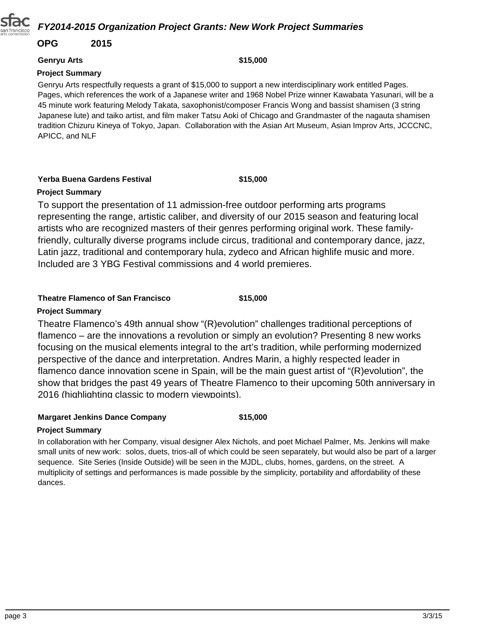## **OPG 2015**

### **Genryu Arts**

#### **Project Summary**

Genryu Arts respectfully requests a grant of \$15,000 to support a new interdisciplinary work entitled Pages. Pages, which references the work of a Japanese writer and 1968 Nobel Prize winner Kawabata Yasunari, will be a 45 minute work featuring Melody Takata, saxophonist/composer Francis Wong and bassist shamisen (3 string Japanese lute) and taiko artist, and film maker Tatsu Aoki of Chicago and Grandmaster of the nagauta shamisen tradition Chizuru Kineya of Tokyo, Japan. Collaboration with the Asian Art Museum, Asian Improv Arts, JCCCNC, APICC, and NLF

#### **Yerba Buena Gardens Festival**

### **Project Summary**

To support the presentation of 11 admission-free outdoor performing arts programs representing the range, artistic caliber, and diversity of our 2015 season and featuring local artists who are recognized masters of their genres performing original work. These familyfriendly, culturally diverse programs include circus, traditional and contemporary dance, jazz, Latin jazz, traditional and contemporary hula, zydeco and African highlife music and more. Included are 3 YBG Festival commissions and 4 world premieres.

### **Theatre Flamenco of San Francisco**

**Project Summary**

Theatre Flamenco's 49th annual show "(R)evolution" challenges traditional perceptions of flamenco – are the innovations a revolution or simply an evolution? Presenting 8 new works focusing on the musical elements integral to the art's tradition, while performing modernized perspective of the dance and interpretation. Andres Marin, a highly respected leader in flamenco dance innovation scene in Spain, will be the main guest artist of "(R)evolution", the show that bridges the past 49 years of Theatre Flamenco to their upcoming 50th anniversary in 2016 (highlighting classic to modern viewpoints).

### **Margaret Jenkins Dance Company**

**\$15,000**

### **Project Summary**

In collaboration with her Company, visual designer Alex Nichols, and poet Michael Palmer, Ms. Jenkins will make small units of new work: solos, duets, trios-all of which could be seen separately, but would also be part of a larger sequence. Site Series (Inside Outside) will be seen in the MJDL, clubs, homes, gardens, on the street. A multiplicity of settings and performances is made possible by the simplicity, portability and affordability of these dances.



# **\$15,000**

**\$15,000**

**\$15,000**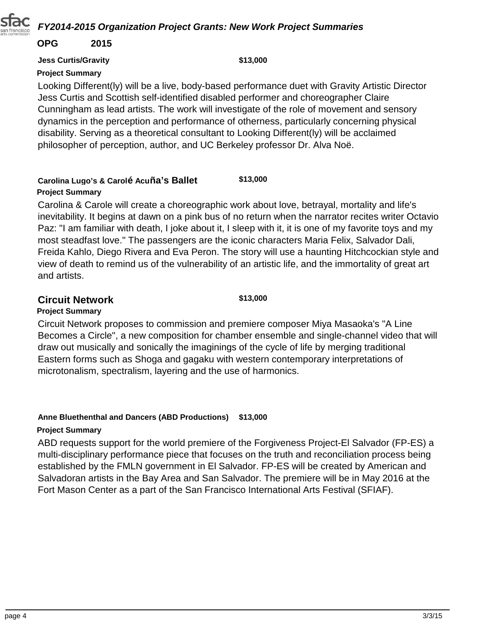| n francis<br>: commiss |  |
|------------------------|--|
|                        |  |

| 2015 |
|------|
|      |

# **Jess Curtis/Gravity**

# **Project Summary**

Looking Different(ly) will be a live, body-based performance duet with Gravity Artistic Director Jess Curtis and Scottish self-identified disabled performer and choreographer Claire Cunningham as lead artists. The work will investigate of the role of movement and sensory dynamics in the perception and performance of otherness, particularly concerning physical disability. Serving as a theoretical consultant to Looking Different(ly) will be acclaimed philosopher of perception, author, and UC Berkeley professor Dr. Alva Noë.

#### **Carolina Lugo's & Carolé Acuña's Ballet Project Summary \$13,000**

Carolina & Carole will create a choreographic work about love, betrayal, mortality and life's inevitability. It begins at dawn on a pink bus of no return when the narrator recites writer Octavio Paz: "I am familiar with death, I joke about it, I sleep with it, it is one of my favorite toys and my most steadfast love." The passengers are the iconic characters Maria Felix, Salvador Dali, Freida Kahlo, Diego Rivera and Eva Peron. The story will use a haunting Hitchcockian style and view of death to remind us of the vulnerability of an artistic life, and the immortality of great art and artists.

# **Circuit Network**

**\$13,000**

# **Project Summary**

Circuit Network proposes to commission and premiere composer Miya Masaoka's "A Line Becomes a Circle", a new composition for chamber ensemble and single-channel video that will draw out musically and sonically the imaginings of the cycle of life by merging traditional Eastern forms such as Shoga and gagaku with western contemporary interpretations of microtonalism, spectralism, layering and the use of harmonics.

# **Anne Bluethenthal and Dancers (ABD Productions) \$13,000**

### **Project Summary**

ABD requests support for the world premiere of the Forgiveness Project-El Salvador (FP-ES) a multi-disciplinary performance piece that focuses on the truth and reconciliation process being established by the FMLN government in El Salvador. FP-ES will be created by American and Salvadoran artists in the Bay Area and San Salvador. The premiere will be in May 2016 at the Fort Mason Center as a part of the San Francisco International Arts Festival (SFIAF).

**\$13,000**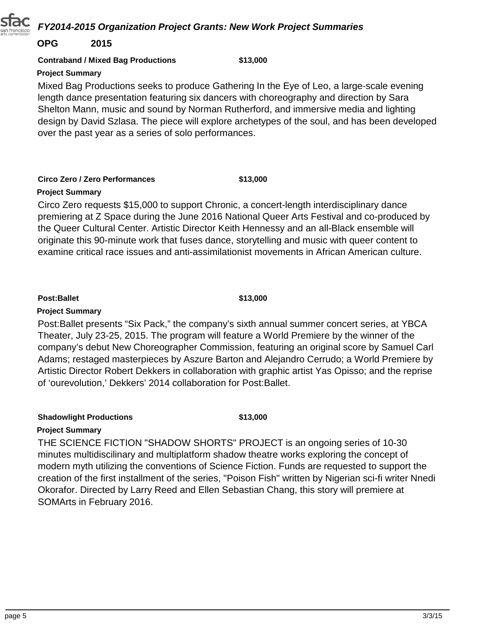

# **OPG 2015**

# **Contraband / Mixed Bag Productions**

## **Project Summary**

Mixed Bag Productions seeks to produce Gathering In the Eye of Leo, a large-scale evening length dance presentation featuring six dancers with choreography and direction by Sara Shelton Mann, music and sound by Norman Rutherford, and immersive media and lighting design by David Szlasa. The piece will explore archetypes of the soul, and has been developed over the past year as a series of solo performances.

### **Circo Zero / Zero Performances**

# **Project Summary**

Circo Zero requests \$15,000 to support Chronic, a concert-length interdisciplinary dance premiering at Z Space during the June 2016 National Queer Arts Festival and co-produced by the Queer Cultural Center. Artistic Director Keith Hennessy and an all-Black ensemble will originate this 90-minute work that fuses dance, storytelling and music with queer content to examine critical race issues and anti-assimilationist movements in African American culture.

**\$13,000**

**\$13,000**

### **Post:Ballet**

### **Project Summary**

Post:Ballet presents "Six Pack," the company's sixth annual summer concert series, at YBCA Theater, July 23-25, 2015. The program will feature a World Premiere by the winner of the company's debut New Choreographer Commission, featuring an original score by Samuel Carl Adams; restaged masterpieces by Aszure Barton and Alejandro Cerrudo; a World Premiere by Artistic Director Robert Dekkers in collaboration with graphic artist Yas Opisso; and the reprise of 'ourevolution,' Dekkers' 2014 collaboration for Post:Ballet.

### **Shadowlight Productions**

**\$13,000**

### **Project Summary**

THE SCIENCE FICTION "SHADOW SHORTS" PROJECT is an ongoing series of 10-30 minutes multidiscilinary and multiplatform shadow theatre works exploring the concept of modern myth utilizing the conventions of Science Fiction. Funds are requested to support the creation of the first installment of the series, "Poison Fish" written by Nigerian sci-fi writer Nnedi Okorafor. Directed by Larry Reed and Ellen Sebastian Chang, this story will premiere at SOMArts in February 2016.

**\$13,000**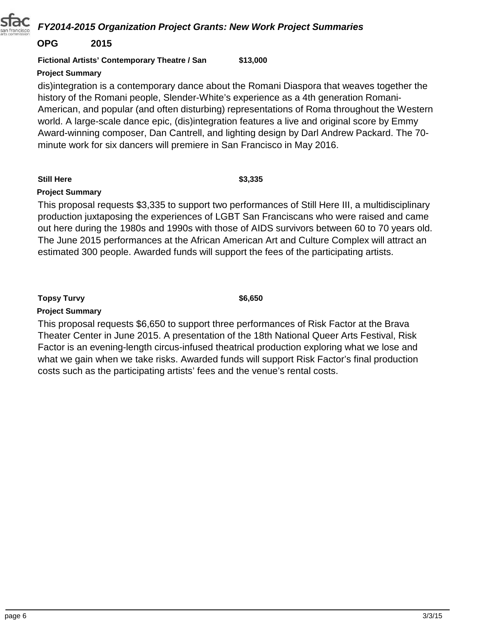

**OPG 2015**

**Fictional Artists' Contemporary Theatre / San \$13,000**

# **Project Summary**

dis)integration is a contemporary dance about the Romani Diaspora that weaves together the history of the Romani people, Slender-White's experience as a 4th generation Romani-American, and popular (and often disturbing) representations of Roma throughout the Western world. A large-scale dance epic, (dis)integration features a live and original score by Emmy Award-winning composer, Dan Cantrell, and lighting design by Darl Andrew Packard. The 70 minute work for six dancers will premiere in San Francisco in May 2016.

### **Still Here**

### **\$3,335**

### **Project Summary**

This proposal requests \$3,335 to support two performances of Still Here III, a multidisciplinary production juxtaposing the experiences of LGBT San Franciscans who were raised and came out here during the 1980s and 1990s with those of AIDS survivors between 60 to 70 years old. The June 2015 performances at the African American Art and Culture Complex will attract an estimated 300 people. Awarded funds will support the fees of the participating artists.

### **Topsy Turvy**

### **\$6,650**

## **Project Summary**

This proposal requests \$6,650 to support three performances of Risk Factor at the Brava Theater Center in June 2015. A presentation of the 18th National Queer Arts Festival, Risk Factor is an evening-length circus-infused theatrical production exploring what we lose and what we gain when we take risks. Awarded funds will support Risk Factor's final production costs such as the participating artists' fees and the venue's rental costs.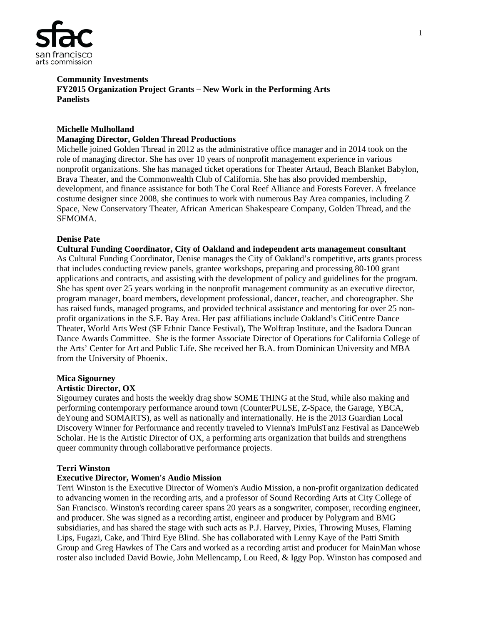

**Community Investments FY2015 Organization Project Grants – New Work in the Performing Arts Panelists**

#### **Michelle Mulholland Managing Director, Golden Thread Productions**

Michelle joined Golden Thread in 2012 as the administrative office manager and in 2014 took on the role of managing director. She has over 10 years of nonprofit management experience in various nonprofit organizations. She has managed ticket operations for Theater Artaud, Beach Blanket Babylon, Brava Theater, and the Commonwealth Club of California. She has also provided membership, development, and finance assistance for both The Coral Reef Alliance and Forests Forever. A freelance costume designer since 2008, she continues to work with numerous Bay Area companies, including Z Space, New Conservatory Theater, African American Shakespeare Company, Golden Thread, and the SFMOMA.

#### **Denise Pate**

**Cultural Funding Coordinator, City of Oakland and independent arts management consultant** As Cultural Funding Coordinator, Denise manages the City of Oakland's competitive, arts grants process that includes conducting review panels, grantee workshops, preparing and processing 80-100 grant applications and contracts, and assisting with the development of policy and guidelines for the program. She has spent over 25 years working in the nonprofit management community as an executive director, program manager, board members, development professional, dancer, teacher, and choreographer. She has raised funds, managed programs, and provided technical assistance and mentoring for over 25 nonprofit organizations in the S.F. Bay Area. Her past affiliations include Oakland's CitiCentre Dance Theater, World Arts West (SF Ethnic Dance Festival), The Wolftrap Institute, and the Isadora Duncan Dance Awards Committee. She is the former Associate Director of Operations for California College of the Arts' Center for Art and Public Life. She received her B.A. from Dominican University and MBA from the University of Phoenix.

### **Mica Sigourney**

#### **Artistic Director, OX**

Sigourney curates and hosts the weekly drag show SOME THING at the Stud, while also making and performing contemporary performance around town (CounterPULSE, Z-Space, the Garage, YBCA, deYoung and SOMARTS), as well as nationally and internationally. He is the 2013 Guardian Local Discovery Winner for Performance and recently traveled to Vienna's ImPulsTanz Festival as DanceWeb Scholar. He is the Artistic Director of OX, a performing arts organization that builds and strengthens queer community through collaborative performance projects.

#### **Terri Winston**

#### **Executive Director, Women's Audio Mission**

Terri Winston is the Executive Director of Women's Audio Mission, a non-profit organization dedicated to advancing women in the recording arts, and a professor of Sound Recording Arts at City College of San Francisco. Winston's recording career spans 20 years as a songwriter, composer, recording engineer, and producer. She was signed as a recording artist, engineer and producer by Polygram and BMG subsidiaries, and has shared the stage with such acts as P.J. Harvey, Pixies, Throwing Muses, Flaming Lips, Fugazi, Cake, and Third Eye Blind. She has collaborated with Lenny Kaye of the Patti Smith Group and Greg Hawkes of The Cars and worked as a recording artist and producer for MainMan whose roster also included David Bowie, John Mellencamp, Lou Reed, & Iggy Pop. Winston has composed and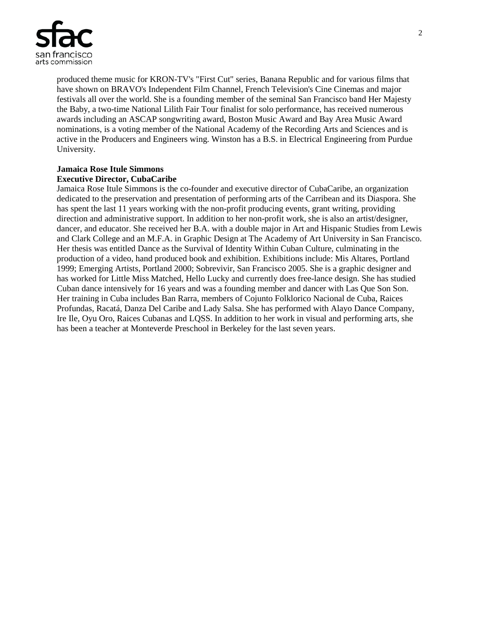

produced theme music for KRON-TV's "First Cut" series, Banana Republic and for various films that have shown on BRAVO's Independent Film Channel, French Television's Cine Cinemas and major festivals all over the world. She is a founding member of the seminal San Francisco band Her Majesty the Baby, a two-time National Lilith Fair Tour finalist for solo performance, has received numerous awards including an ASCAP songwriting award, Boston Music Award and Bay Area Music Award nominations, is a voting member of the National Academy of the Recording Arts and Sciences and is active in the Producers and Engineers wing. Winston has a B.S. in Electrical Engineering from Purdue University.

#### **Jamaica Rose Itule Simmons Executive Director, CubaCaribe**

Jamaica Rose Itule Simmons is the co-founder and executive director of CubaCaribe, an organization dedicated to the preservation and presentation of performing arts of the Carribean and its Diaspora. She has spent the last 11 years working with the non-profit producing events, grant writing, providing direction and administrative support. In addition to her non-profit work, she is also an artist/designer, dancer, and educator. She received her B.A. with a double major in Art and Hispanic Studies from Lewis and Clark College and an M.F.A. in Graphic Design at The Academy of Art University in San Francisco. Her thesis was entitled Dance as the Survival of Identity Within Cuban Culture, culminating in the production of a video, hand produced book and exhibition. Exhibitions include: Mis Altares, Portland 1999; Emerging Artists, Portland 2000; Sobrevivir, San Francisco 2005. She is a graphic designer and has worked for Little Miss Matched, Hello Lucky and currently does free-lance design. She has studied Cuban dance intensively for 16 years and was a founding member and dancer with Las Que Son Son. Her training in Cuba includes Ban Rarra, members of Cojunto Folklorico Nacional de Cuba, Raices Profundas, Racatá, Danza Del Caribe and Lady Salsa. She has performed with Alayo Dance Company, Ire Ile, Oyu Oro, Raices Cubanas and LQSS. In addition to her work in visual and performing arts, she has been a teacher at Monteverde Preschool in Berkeley for the last seven years.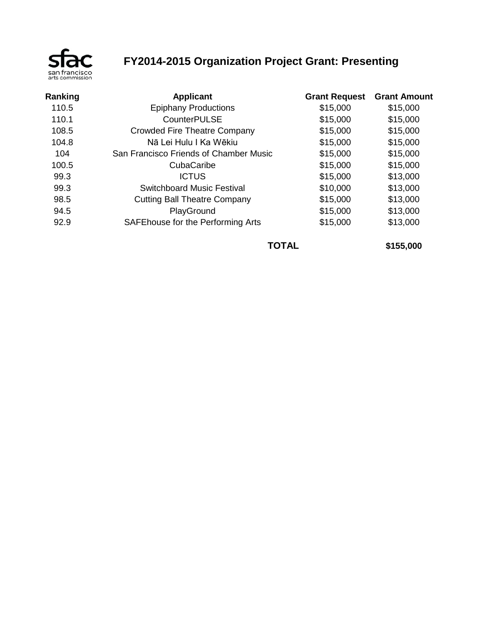

# **FY2014-2015 Organization Project Grant: Presenting**

| Ranking | <b>Applicant</b>                       | <b>Grant Request</b> | <b>Grant Amount</b> |
|---------|----------------------------------------|----------------------|---------------------|
| 110.5   | <b>Epiphany Productions</b>            | \$15,000             | \$15,000            |
| 110.1   | CounterPULSE                           | \$15,000             | \$15,000            |
| 108.5   | Crowded Fire Theatre Company           | \$15,000             | \$15,000            |
| 104.8   | Nā Lei Hulu I Ka Wēkiu                 | \$15,000             | \$15,000            |
| 104     | San Francisco Friends of Chamber Music | \$15,000             | \$15,000            |
| 100.5   | CubaCaribe                             | \$15,000             | \$15,000            |
| 99.3    | <b>ICTUS</b>                           | \$15,000             | \$13,000            |
| 99.3    | <b>Switchboard Music Festival</b>      | \$10,000             | \$13,000            |
| 98.5    | <b>Cutting Ball Theatre Company</b>    | \$15,000             | \$13,000            |
| 94.5    | PlayGround                             | \$15,000             | \$13,000            |
| 92.9    | SAFE house for the Performing Arts     | \$15,000             | \$13,000            |

**TOTAL \$155,000**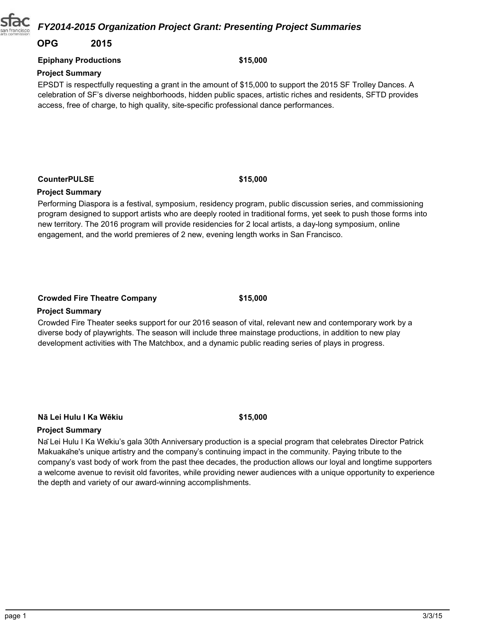# *FY2014-2015 Organization Project Grant: Presenting Project Summaries*

# **OPG 2015**

# **Epiphany Productions**

### **Project Summary**

EPSDT is respectfully requesting a grant in the amount of \$15,000 to support the 2015 SF Trolley Dances. A celebration of SF's diverse neighborhoods, hidden public spaces, artistic riches and residents, SFTD provides access, free of charge, to high quality, site-specific professional dance performances.

### **CounterPULSE**

### **Project Summary**

Performing Diaspora is a festival, symposium, residency program, public discussion series, and commissioning program designed to support artists who are deeply rooted in traditional forms, yet seek to push those forms into new territory. The 2016 program will provide residencies for 2 local artists, a day-long symposium, online engagement, and the world premieres of 2 new, evening length works in San Francisco.

# **Crowded Fire Theatre Company**

# **Project Summary**

### Crowded Fire Theater seeks support for our 2016 season of vital, relevant new and contemporary work by a diverse body of playwrights. The season will include three mainstage productions, in addition to new play development activities with The Matchbox, and a dynamic public reading series of plays in progress.

### **Nā Lei Hulu I Ka Wēkiu**

### **Project Summary**

Na Lei Hulu I Ka Wekiu's gala 30th Anniversary production is a special program that celebrates Director Patrick Makuakāne's unique artistry and the company's continuing impact in the community. Paying tribute to the company's vast body of work from the past thee decades, the production allows our loyal and longtime supporters a welcome avenue to revisit old favorites, while providing newer audiences with a unique opportunity to experience the depth and variety of our award-winning accomplishments.

**\$15,000**

**\$15,000**

**\$15,000**

**\$15,000**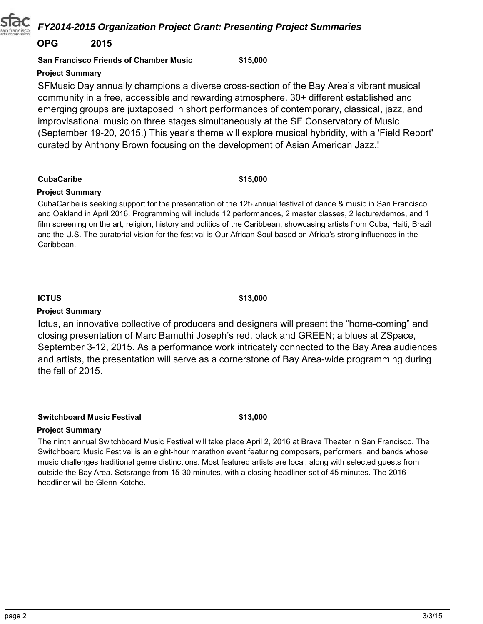*FY2014-2015 Organization Project Grant: Presenting Project Summaries*



| OPG | 2015 |
|-----|------|
|-----|------|

**San Francisco Friends of Chamber Music \$15,000**

# **Project Summary**

SFMusic Day annually champions a diverse cross-section of the Bay Area's vibrant musical community in a free, accessible and rewarding atmosphere. 30+ different established and emerging groups are juxtaposed in short performances of contemporary, classical, jazz, and improvisational music on three stages simultaneously at the SF Conservatory of Music (September 19-20, 2015.) This year's theme will explore musical hybridity, with a 'Field Report' curated by Anthony Brown focusing on the development of Asian American Jazz.!

### **CubaCaribe**

### **\$15,000**

### **Project Summary**

CubaCaribe is seeking support for the presentation of the 12th Annual festival of dance & music in San Francisco and Oakland in April 2016. Programming will include 12 performances, 2 master classes, 2 lecture/demos, and 1 film screening on the art, religion, history and politics of the Caribbean, showcasing artists from Cuba, Haiti, Brazil and the U.S. The curatorial vision for the festival is Our African Soul based on Africa's strong influences in the Caribbean.

# **ICTUS**

## **Project Summary**

Ictus, an innovative collective of producers and designers will present the "home-coming" and closing presentation of Marc Bamuthi Joseph's red, black and GREEN; a blues at ZSpace, September 3-12, 2015. As a performance work intricately connected to the Bay Area audiences and artists, the presentation will serve as a cornerstone of Bay Area-wide programming during the fall of 2015.

### **Switchboard Music Festival**

**\$13,000**

**\$13,000**

# **Project Summary**

The ninth annual Switchboard Music Festival will take place April 2, 2016 at Brava Theater in San Francisco. The Switchboard Music Festival is an eight-hour marathon event featuring composers, performers, and bands whose music challenges traditional genre distinctions. Most featured artists are local, along with selected guests from outside the Bay Area. Setsrange from 15-30 minutes, with a closing headliner set of 45 minutes. The 2016 headliner will be Glenn Kotche.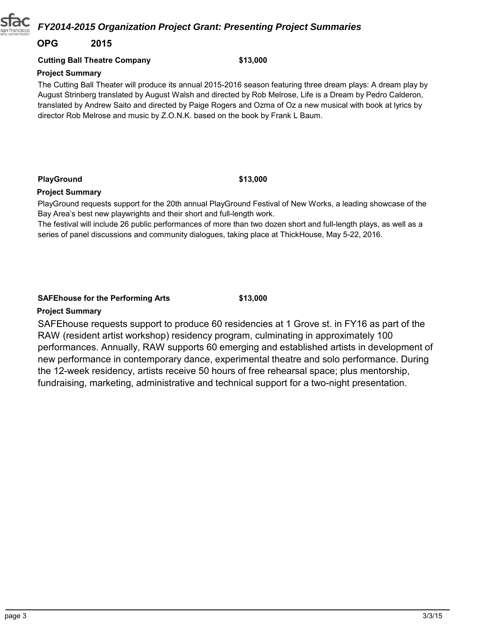*FY2014-2015 Organization Project Grant: Presenting Project Summaries*



### **OPG 2015**

#### **Cutting Ball Theatre Company**

#### **Project Summary**

The Cutting Ball Theater will produce its annual 2015-2016 season featuring three dream plays: A dream play by August Strinberg translated by August Walsh and directed by Rob Melrose, Life is a Dream by Pedro Calderon, translated by Andrew Saito and directed by Paige Rogers and Ozma of Oz a new musical with book at lyrics by director Rob Melrose and music by Z.O.N.K. based on the book by Frank L Baum.

### **PlayGround**

### **\$13,000**

### **Project Summary**

PlayGround requests support for the 20th annual PlayGround Festival of New Works, a leading showcase of the Bay Area's best new playwrights and their short and full-length work.

The festival will include 26 public performances of more than two dozen short and full-length plays, as well as a series of panel discussions and community dialogues, taking place at ThickHouse, May 5-22, 2016.

### **SAFEhouse for the Performing Arts**

**\$13,000**

### **Project Summary**

SAFEhouse requests support to produce 60 residencies at 1 Grove st. in FY16 as part of the RAW (resident artist workshop) residency program, culminating in approximately 100 performances. Annually, RAW supports 60 emerging and established artists in development of new performance in contemporary dance, experimental theatre and solo performance. During the 12-week residency, artists receive 50 hours of free rehearsal space; plus mentorship, fundraising, marketing, administrative and technical support for a two-night presentation.

**\$13,000**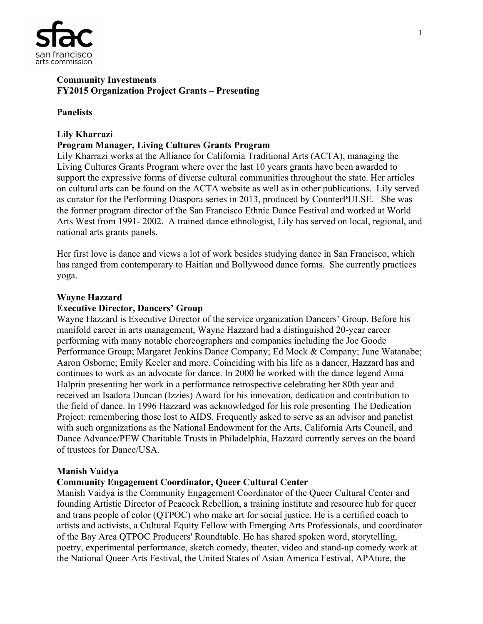

## **Community Investments FY2015 Organization Project Grants – Presenting**

### **Panelists**

### **Lily Kharrazi**

### **Program Manager, Living Cultures Grants Program**

Lily Kharrazi works at the Alliance for California Traditional Arts (ACTA), managing the Living Cultures Grants Program where over the last 10 years grants have been awarded to support the expressive forms of diverse cultural communities throughout the state. Her articles on cultural arts can be found on the ACTA website as well as in other publications. Lily served as curator for the Performing Diaspora series in 2013, produced by CounterPULSE. She was the former program director of the San Francisco Ethnic Dance Festival and worked at World Arts West from 1991- 2002. A trained dance ethnologist, Lily has served on local, regional, and national arts grants panels.

Her first love is dance and views a lot of work besides studying dance in San Francisco, which has ranged from contemporary to Haitian and Bollywood dance forms. She currently practices yoga.

### **Wayne Hazzard**

### **Executive Director, Dancers' Group**

Wayne Hazzard is Executive Director of the service organization Dancers' Group. Before his manifold career in arts management, Wayne Hazzard had a distinguished 20-year career performing with many notable choreographers and companies including the Joe Goode Performance Group; Margaret Jenkins Dance Company; Ed Mock & Company; June Watanabe; Aaron Osborne; Emily Keeler and more. Coinciding with his life as a dancer, Hazzard has and continues to work as an advocate for dance. In 2000 he worked with the dance legend Anna Halprin presenting her work in a performance retrospective celebrating her 80th year and received an Isadora Duncan (Izzies) Award for his innovation, dedication and contribution to the field of dance. In 1996 Hazzard was acknowledged for his role presenting The Dedication Project: remembering those lost to AIDS. Frequently asked to serve as an advisor and panelist with such organizations as the National Endowment for the Arts, California Arts Council, and Dance Advance/PEW Charitable Trusts in Philadelphia, Hazzard currently serves on the board of trustees for Dance/USA.

### **Manish Vaidya**

### **Community Engagement Coordinator, Queer Cultural Center**

Manish Vaidya is the Community Engagement Coordinator of the Queer Cultural Center and founding Artistic Director of Peacock Rebellion, a training institute and resource hub for queer and trans people of color (QTPOC) who make art for social justice. He is a certified coach to artists and activists, a Cultural Equity Fellow with Emerging Arts Professionals, and coordinator of the Bay Area QTPOC Producers' Roundtable. He has shared spoken word, storytelling, poetry, experimental performance, sketch comedy, theater, video and stand-up comedy work at the National Queer Arts Festival, the United States of Asian America Festival, APAture, the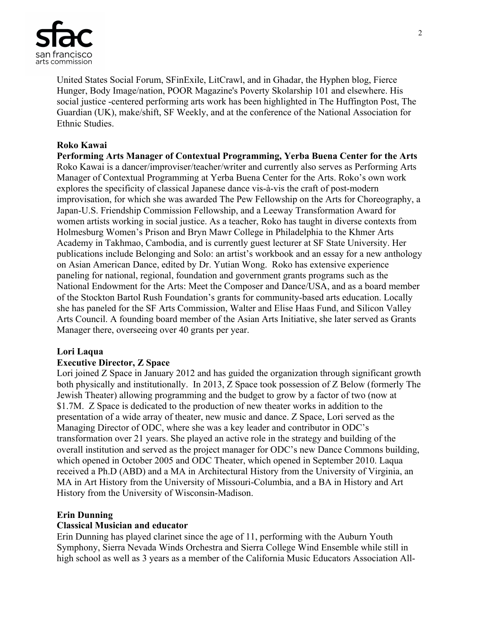

United States Social Forum, SFinExile, LitCrawl, and in Ghadar, the Hyphen blog, Fierce Hunger, Body Image/nation, POOR Magazine's Poverty Skolarship 101 and elsewhere. His social justice -centered performing arts work has been highlighted in The Huffington Post, The Guardian (UK), make/shift, SF Weekly, and at the conference of the National Association for Ethnic Studies.

### **Roko Kawai**

**Performing Arts Manager of Contextual Programming, Yerba Buena Center for the Arts**  Roko Kawai is a dancer/improviser/teacher/writer and currently also serves as Performing Arts Manager of Contextual Programming at Yerba Buena Center for the Arts. Roko's own work explores the specificity of classical Japanese dance vis-à-vis the craft of post-modern improvisation, for which she was awarded The Pew Fellowship on the Arts for Choreography, a Japan-U.S. Friendship Commission Fellowship, and a Leeway Transformation Award for women artists working in social justice. As a teacher, Roko has taught in diverse contexts from Holmesburg Women's Prison and Bryn Mawr College in Philadelphia to the Khmer Arts Academy in Takhmao, Cambodia, and is currently guest lecturer at SF State University. Her publications include Belonging and Solo: an artist's workbook and an essay for a new anthology on Asian American Dance, edited by Dr. Yutian Wong. Roko has extensive experience paneling for national, regional, foundation and government grants programs such as the National Endowment for the Arts: Meet the Composer and Dance/USA, and as a board member of the Stockton Bartol Rush Foundation's grants for community-based arts education. Locally she has paneled for the SF Arts Commission, Walter and Elise Haas Fund, and Silicon Valley Arts Council. A founding board member of the Asian Arts Initiative, she later served as Grants Manager there, overseeing over 40 grants per year.

### **Lori Laqua**

### **Executive Director, Z Space**

Lori joined Z Space in January 2012 and has guided the organization through significant growth both physically and institutionally. In 2013, Z Space took possession of Z Below (formerly The Jewish Theater) allowing programming and the budget to grow by a factor of two (now at \$1.7M. Z Space is dedicated to the production of new theater works in addition to the presentation of a wide array of theater, new music and dance. Z Space, Lori served as the Managing Director of ODC, where she was a key leader and contributor in ODC's transformation over 21 years. She played an active role in the strategy and building of the overall institution and served as the project manager for ODC's new Dance Commons building, which opened in October 2005 and ODC Theater, which opened in September 2010. Laqua received a Ph.D (ABD) and a MA in Architectural History from the University of Virginia, an MA in Art History from the University of Missouri-Columbia, and a BA in History and Art History from the University of Wisconsin-Madison.

### **Erin Dunning**

### **Classical Musician and educator**

Erin Dunning has played clarinet since the age of 11, performing with the Auburn Youth Symphony, Sierra Nevada Winds Orchestra and Sierra College Wind Ensemble while still in high school as well as 3 years as a member of the California Music Educators Association All-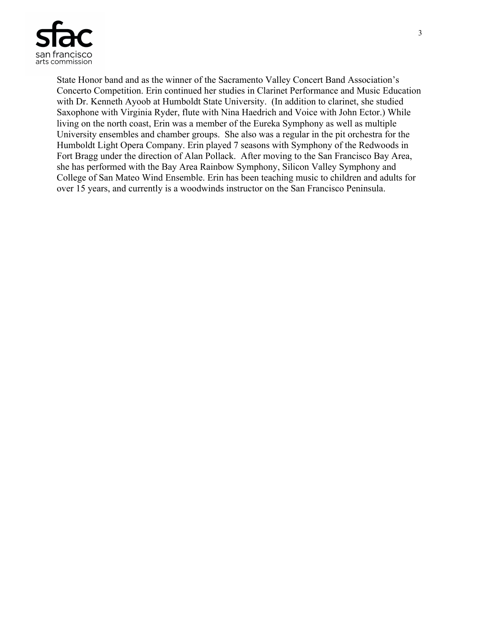

State Honor band and as the winner of the Sacramento Valley Concert Band Association's Concerto Competition. Erin continued her studies in Clarinet Performance and Music Education with Dr. Kenneth Ayoob at Humboldt State University. (In addition to clarinet, she studied Saxophone with Virginia Ryder, flute with Nina Haedrich and Voice with John Ector.) While living on the north coast, Erin was a member of the Eureka Symphony as well as multiple University ensembles and chamber groups. She also was a regular in the pit orchestra for the Humboldt Light Opera Company. Erin played 7 seasons with Symphony of the Redwoods in Fort Bragg under the direction of Alan Pollack. After moving to the San Francisco Bay Area, she has performed with the Bay Area Rainbow Symphony, Silicon Valley Symphony and College of San Mateo Wind Ensemble. Erin has been teaching music to children and adults for over 15 years, and currently is a woodwinds instructor on the San Francisco Peninsula.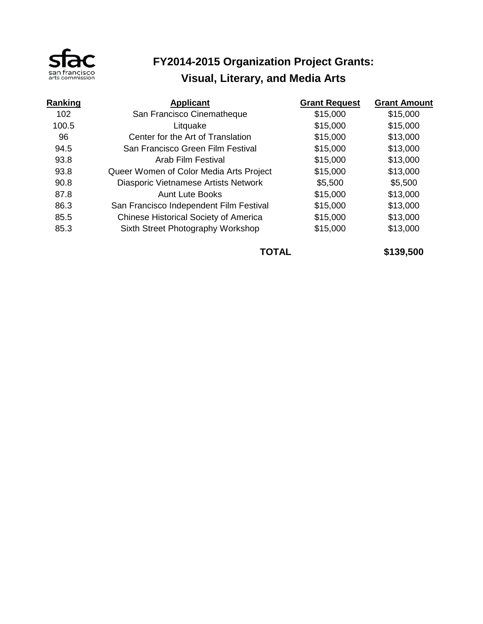

# **FY2014-2015 Organization Project Grants: Visual, Literary, and Media Arts**

| Ranking | <b>Applicant</b>                             | <b>Grant Request</b> | <b>Grant Amount</b> |
|---------|----------------------------------------------|----------------------|---------------------|
| 102     | San Francisco Cinematheque                   | \$15,000             | \$15,000            |
| 100.5   | Litquake                                     | \$15,000             | \$15,000            |
| 96      | Center for the Art of Translation            | \$15,000             | \$13,000            |
| 94.5    | San Francisco Green Film Festival            | \$15,000             | \$13,000            |
| 93.8    | Arab Film Festival                           | \$15,000             | \$13,000            |
| 93.8    | Queer Women of Color Media Arts Project      | \$15,000             | \$13,000            |
| 90.8    | Diasporic Vietnamese Artists Network         | \$5,500              | \$5,500             |
| 87.8    | <b>Aunt Lute Books</b>                       | \$15,000             | \$13,000            |
| 86.3    | San Francisco Independent Film Festival      | \$15,000             | \$13,000            |
| 85.5    | <b>Chinese Historical Society of America</b> | \$15,000             | \$13,000            |
| 85.3    | Sixth Street Photography Workshop            | \$15,000             | \$13,000            |

**TOTAL \$139,500**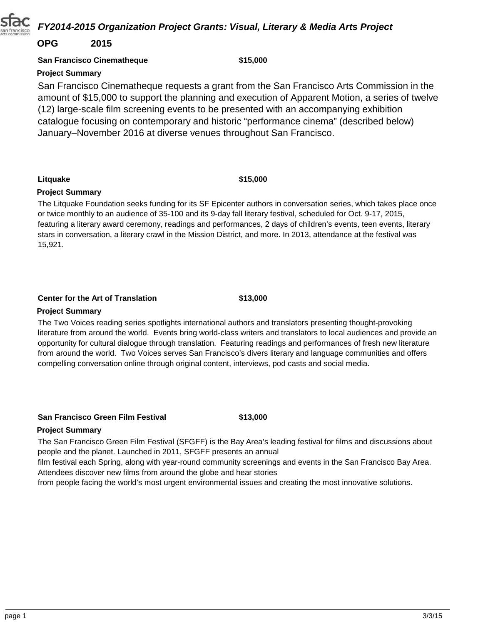*FY2014-2015 Organization Project Grants: Visual, Literary & Media Arts Project*

| h franci<br>commissi |  |
|----------------------|--|

**San Francisco Cinematheque**

### **Project Summary**

San Francisco Cinematheque requests a grant from the San Francisco Arts Commission in the amount of \$15,000 to support the planning and execution of Apparent Motion, a series of twelve (12) large-scale film screening events to be presented with an accompanying exhibition catalogue focusing on contemporary and historic "performance cinema" (described below) January–November 2016 at diverse venues throughout San Francisco.

**\$15,000**

### **Litquake**

### **\$15,000**

### **Project Summary**

The Litquake Foundation seeks funding for its SF Epicenter authors in conversation series, which takes place once or twice monthly to an audience of 35-100 and its 9-day fall literary festival, scheduled for Oct. 9-17, 2015, featuring a literary award ceremony, readings and performances, 2 days of children's events, teen events, literary stars in conversation, a literary crawl in the Mission District, and more. In 2013, attendance at the festival was 15,921.

### **Center for the Art of Translation**

### **Project Summary**

The Two Voices reading series spotlights international authors and translators presenting thought-provoking literature from around the world. Events bring world-class writers and translators to local audiences and provide an opportunity for cultural dialogue through translation. Featuring readings and performances of fresh new literature from around the world. Two Voices serves San Francisco's divers literary and language communities and offers compelling conversation online through original content, interviews, pod casts and social media.

**\$13,000**

### **San Francisco Green Film Festival**

**\$13,000**

### **Project Summary**

The San Francisco Green Film Festival (SFGFF) is the Bay Area's leading festival for films and discussions about people and the planet. Launched in 2011, SFGFF presents an annual

film festival each Spring, along with year-round community screenings and events in the San Francisco Bay Area. Attendees discover new films from around the globe and hear stories

from people facing the world's most urgent environmental issues and creating the most innovative solutions.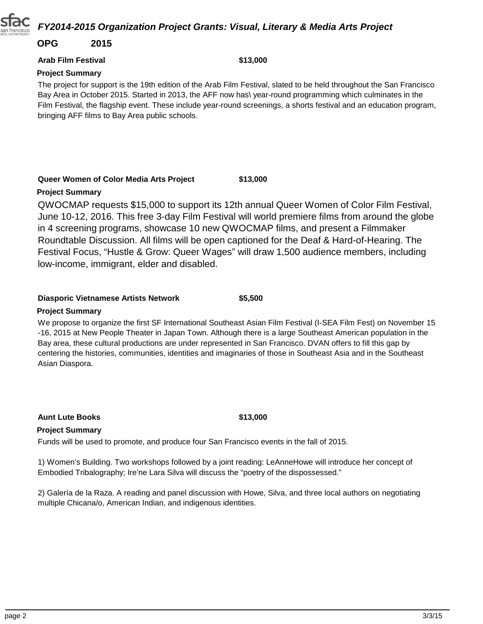# *FY2014-2015 Organization Project Grants: Visual, Literary & Media Arts Project*

## **OPG 2015**

### **Arab Film Festival**

### **Project Summary**

The project for support is the 19th edition of the Arab Film Festival, slated to be held throughout the San Francisco Bay Area in October 2015. Started in 2013, the AFF now has\ year-round programming which culminates in the Film Festival, the flagship event. These include year-round screenings, a shorts festival and an education program, bringing AFF films to Bay Area public schools.

#### **Queer Women of Color Media Arts Project \$13,000**

### **Project Summary**

QWOCMAP requests \$15,000 to support its 12th annual Queer Women of Color Film Festival, June 10-12, 2016. This free 3-day Film Festival will world premiere films from around the globe in 4 screening programs, showcase 10 new QWOCMAP films, and present a Filmmaker Roundtable Discussion. All films will be open captioned for the Deaf & Hard-of-Hearing. The Festival Focus, "Hustle & Grow: Queer Wages" will draw 1,500 audience members, including low-income, immigrant, elder and disabled.

#### **Diasporic Vietnamese Artists Network**

### **Project Summary**

We propose to organize the first SF International Southeast Asian Film Festival (I-SEA Film Fest) on November 15 -16, 2015 at New People Theater in Japan Town. Although there is a large Southeast American population in the Bay area, these cultural productions are under represented in San Francisco. DVAN offers to fill this gap by centering the histories, communities, identities and imaginaries of those in Southeast Asia and in the Southeast Asian Diaspora.

#### **Aunt Lute Books**

#### **\$13,000**

### **Project Summary**

Funds will be used to promote, and produce four San Francisco events in the fall of 2015.

1) Women's Building. Two workshops followed by a joint reading: LeAnneHowe will introduce her concept of Embodied Tribalography; Ire'ne Lara Silva will discuss the "poetry of the dispossessed."

2) Galería de la Raza. A reading and panel discussion with Howe, Silva, and three local authors on negotiating multiple Chicana/o, American Indian, and indigenous identities.



**\$5,500**

**\$13,000**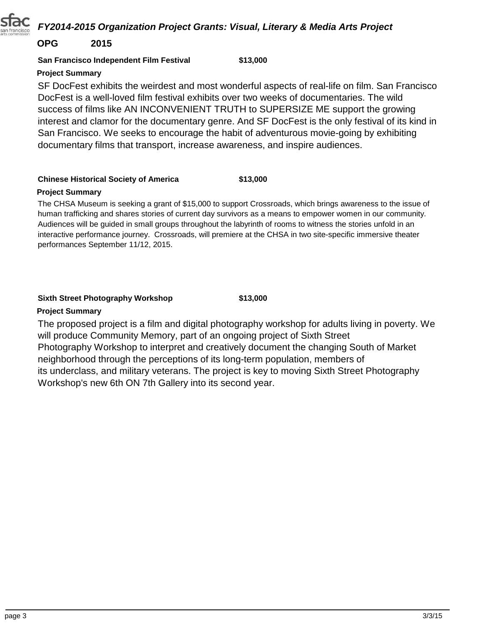*FY2014-2015 Organization Project Grants: Visual, Literary & Media Arts Project*



| <b>OPG</b> | 2015 |
|------------|------|
|------------|------|

#### **San Francisco Independent Film Festival \$13,000**

## **Project Summary**

SF DocFest exhibits the weirdest and most wonderful aspects of real-life on film. San Francisco DocFest is a well-loved film festival exhibits over two weeks of documentaries. The wild success of films like AN INCONVENIENT TRUTH to SUPERSIZE ME support the growing interest and clamor for the documentary genre. And SF DocFest is the only festival of its kind in San Francisco. We seeks to encourage the habit of adventurous movie-going by exhibiting documentary films that transport, increase awareness, and inspire audiences.

#### **Chinese Historical Society of America \$13,000**

### **Project Summary**

The CHSA Museum is seeking a grant of \$15,000 to support Crossroads, which brings awareness to the issue of human trafficking and shares stories of current day survivors as a means to empower women in our community. Audiences will be guided in small groups throughout the labyrinth of rooms to witness the stories unfold in an interactive performance journey. Crossroads, will premiere at the CHSA in two site-specific immersive theater performances September 11/12, 2015.

# **Sixth Street Photography Workshop**

**\$13,000**

### **Project Summary**

The proposed project is a film and digital photography workshop for adults living in poverty. We will produce Community Memory, part of an ongoing project of Sixth Street Photography Workshop to interpret and creatively document the changing South of Market neighborhood through the perceptions of its long-term population, members of its underclass, and military veterans. The project is key to moving Sixth Street Photography Workshop's new 6th ON 7th Gallery into its second year.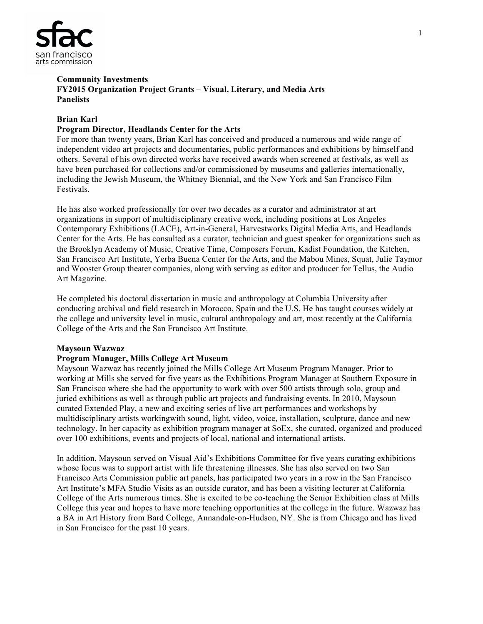

### **Community Investments FY2015 Organization Project Grants – Visual, Literary, and Media Arts Panelists**

#### **Brian Karl**

#### **Program Director, Headlands Center for the Arts**

For more than twenty years, Brian Karl has conceived and produced a numerous and wide range of independent video art projects and documentaries, public performances and exhibitions by himself and others. Several of his own directed works have received awards when screened at festivals, as well as have been purchased for collections and/or commissioned by museums and galleries internationally, including the Jewish Museum, the Whitney Biennial, and the New York and San Francisco Film Festivals.

He has also worked professionally for over two decades as a curator and administrator at art organizations in support of multidisciplinary creative work, including positions at Los Angeles Contemporary Exhibitions (LACE), Art-in-General, Harvestworks Digital Media Arts, and Headlands Center for the Arts. He has consulted as a curator, technician and guest speaker for organizations such as the Brooklyn Academy of Music, Creative Time, Composers Forum, Kadist Foundation, the Kitchen, San Francisco Art Institute, Yerba Buena Center for the Arts, and the Mabou Mines, Squat, Julie Taymor and Wooster Group theater companies, along with serving as editor and producer for Tellus, the Audio Art Magazine.

He completed his doctoral dissertation in music and anthropology at Columbia University after conducting archival and field research in Morocco, Spain and the U.S. He has taught courses widely at the college and university level in music, cultural anthropology and art, most recently at the California College of the Arts and the San Francisco Art Institute.

#### **Maysoun Wazwaz**

#### **Program Manager, Mills College Art Museum**

Maysoun Wazwaz has recently joined the Mills College Art Museum Program Manager. Prior to working at Mills she served for five years as the Exhibitions Program Manager at Southern Exposure in San Francisco where she had the opportunity to work with over 500 artists through solo, group and juried exhibitions as well as through public art projects and fundraising events. In 2010, Maysoun curated Extended Play, a new and exciting series of live art performances and workshops by multidisciplinary artists workingwith sound, light, video, voice, installation, sculpture, dance and new technology. In her capacity as exhibition program manager at SoEx, she curated, organized and produced over 100 exhibitions, events and projects of local, national and international artists.

In addition, Maysoun served on Visual Aid's Exhibitions Committee for five years curating exhibitions whose focus was to support artist with life threatening illnesses. She has also served on two San Francisco Arts Commission public art panels, has participated two years in a row in the San Francisco Art Institute's MFA Studio Visits as an outside curator, and has been a visiting lecturer at California College of the Arts numerous times. She is excited to be co-teaching the Senior Exhibition class at Mills College this year and hopes to have more teaching opportunities at the college in the future. Wazwaz has a BA in Art History from Bard College, Annandale-on-Hudson, NY. She is from Chicago and has lived in San Francisco for the past 10 years.